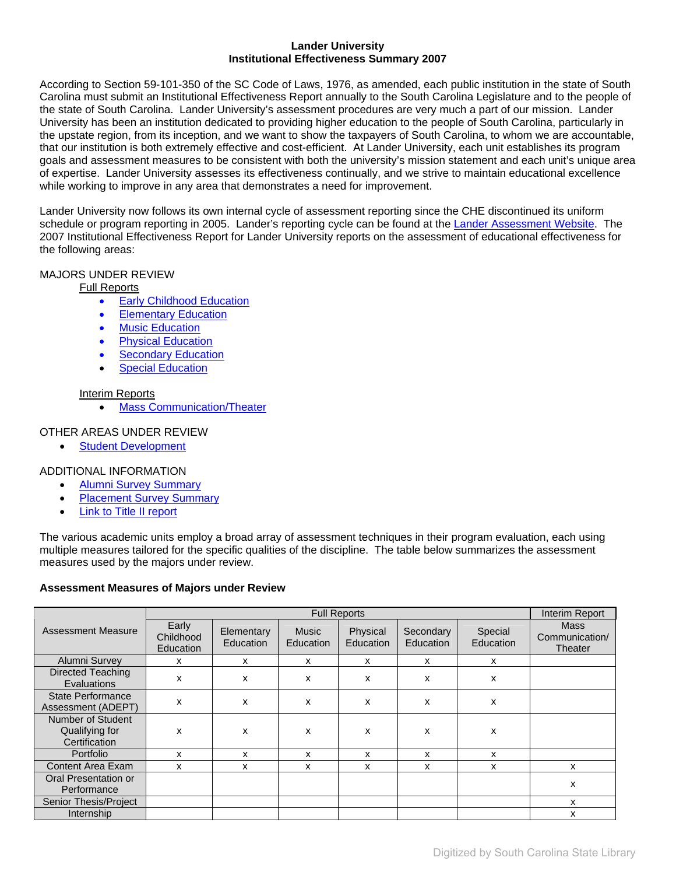### **Lander University Institutional Effectiveness Summary 2007**

According to Section 59-101-350 of the SC Code of Laws, 1976, as amended, each public institution in the state of South Carolina must submit an Institutional Effectiveness Report annually to the South Carolina Legislature and to the people of the state of South Carolina. Lander University's assessment procedures are very much a part of our mission. Lander University has been an institution dedicated to providing higher education to the people of South Carolina, particularly in the upstate region, from its inception, and we want to show the taxpayers of South Carolina, to whom we are accountable, that our institution is both extremely effective and cost-efficient. At Lander University, each unit establishes its program goals and assessment measures to be consistent with both the university's mission statement and each unit's unique area of expertise. Lander University assesses its effectiveness continually, and we strive to maintain educational excellence while working to improve in any area that demonstrates a need for improvement.

Lander University now follows its own internal cycle of assessment reporting since the CHE discontinued its uniform schedule or program reporting in 2005. Lander's reporting cycle can be found at the [Lander Assessment Website](http://www.lander.edu/assessment/assessmenthome.html). The 2007 Institutional Effectiveness Report for Lander University reports on the assessment of educational effectiveness for the following areas:

# MAJORS UNDER REVIEW

### Full Reports

- **[Early Childhood Education](#page-1-0)**
- **[Elementary Education](#page-1-0)**
- [Music Education](#page-1-0)
- [Physical Education](#page-1-0)
- **[Secondary Education](#page-1-0)**
- **[Special Education](#page-1-0)**

### Interim Reports

• [Mass Communication/Theater](#page-14-0)

## OTHER AREAS UNDER REVIEW

**[Student Development](#page-15-0)** 

# ADDITIONAL INFORMATION

- [Alumni Survey Summary](#page-17-0)
- **[Placement Survey Summary](#page-18-0)**
- [Link to Title II report](http://www.lander.edu/education/titleII/index.html)

The various academic units employ a broad array of assessment techniques in their program evaluation, each using multiple measures tailored for the specific qualities of the discipline. The table below summarizes the assessment measures used by the majors under review.

### **Assessment Measures of Majors under Review**

|                                                      |                                        |                                |                    | <b>Full Reports</b>   |                        |                      | Interim Report                           |
|------------------------------------------------------|----------------------------------------|--------------------------------|--------------------|-----------------------|------------------------|----------------------|------------------------------------------|
| <b>Assessment Measure</b>                            | Early<br>Childhood<br><b>Education</b> | Elementary<br><b>Education</b> | Music<br>Education | Physical<br>Education | Secondary<br>Education | Special<br>Education | <b>Mass</b><br>Communication/<br>Theater |
| Alumni Survey                                        | x                                      | x                              | x                  | x                     | x                      | х                    |                                          |
| Directed Teaching<br>Evaluations                     | x                                      | x                              | x                  | $\mathsf{x}$          | x                      | x                    |                                          |
| <b>State Performance</b><br>Assessment (ADEPT)       | x                                      | x                              | x                  | x                     | x                      | x                    |                                          |
| Number of Student<br>Qualifying for<br>Certification | x                                      | x                              | x                  | x                     | x                      | x                    |                                          |
| Portfolio                                            | x                                      | x                              | x                  | x                     | x                      | x                    |                                          |
| <b>Content Area Exam</b>                             | x                                      | x                              | x                  | x                     | x                      | x                    | x                                        |
| Oral Presentation or<br>Performance                  |                                        |                                |                    |                       |                        |                      | x                                        |
| Senior Thesis/Project                                |                                        |                                |                    |                       |                        |                      | x                                        |
| Internship                                           |                                        |                                |                    |                       |                        |                      | x                                        |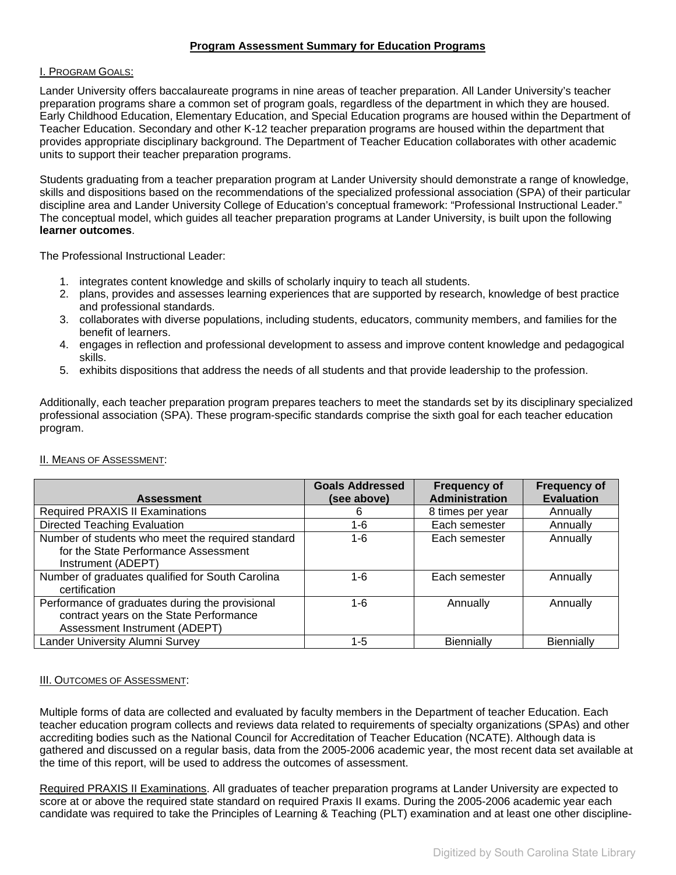# **Program Assessment Summary for Education Programs**

### <span id="page-1-0"></span>I. PROGRAM GOALS:

Lander University offers baccalaureate programs in nine areas of teacher preparation. All Lander University's teacher preparation programs share a common set of program goals, regardless of the department in which they are housed. Early Childhood Education, Elementary Education, and Special Education programs are housed within the Department of Teacher Education. Secondary and other K-12 teacher preparation programs are housed within the department that provides appropriate disciplinary background. The Department of Teacher Education collaborates with other academic units to support their teacher preparation programs.

Students graduating from a teacher preparation program at Lander University should demonstrate a range of knowledge, skills and dispositions based on the recommendations of the specialized professional association (SPA) of their particular discipline area and Lander University College of Education's conceptual framework: "Professional Instructional Leader." The conceptual model, which guides all teacher preparation programs at Lander University, is built upon the following **learner outcomes**.

The Professional Instructional Leader:

- 1. integrates content knowledge and skills of scholarly inquiry to teach all students.
- 2. plans, provides and assesses learning experiences that are supported by research, knowledge of best practice and professional standards.
- 3. collaborates with diverse populations, including students, educators, community members, and families for the benefit of learners.
- 4. engages in reflection and professional development to assess and improve content knowledge and pedagogical skills.
- 5. exhibits dispositions that address the needs of all students and that provide leadership to the profession.

Additionally, each teacher preparation program prepares teachers to meet the standards set by its disciplinary specialized professional association (SPA). These program-specific standards comprise the sixth goal for each teacher education program.

| <b>Assessment</b>                                                                                                           | <b>Goals Addressed</b><br>(see above) | <b>Frequency of</b><br><b>Administration</b> | <b>Frequency of</b><br><b>Evaluation</b> |
|-----------------------------------------------------------------------------------------------------------------------------|---------------------------------------|----------------------------------------------|------------------------------------------|
| <b>Required PRAXIS II Examinations</b>                                                                                      | 6                                     | 8 times per year                             | Annually                                 |
| <b>Directed Teaching Evaluation</b>                                                                                         | 1-6                                   | Each semester                                | Annually                                 |
| Number of students who meet the required standard<br>for the State Performance Assessment                                   | 1-6                                   | Each semester                                | Annually                                 |
| Instrument (ADEPT)                                                                                                          |                                       |                                              |                                          |
| Number of graduates qualified for South Carolina<br>certification                                                           | 1-6                                   | Each semester                                | Annually                                 |
| Performance of graduates during the provisional<br>contract years on the State Performance<br>Assessment Instrument (ADEPT) | 1-6                                   | Annually                                     | Annually                                 |
| Lander University Alumni Survey                                                                                             | 1-5                                   | <b>Biennially</b>                            | <b>Biennially</b>                        |

### II. MEANS OF ASSESSMENT:

### **III. OUTCOMES OF ASSESSMENT:**

Multiple forms of data are collected and evaluated by faculty members in the Department of teacher Education. Each teacher education program collects and reviews data related to requirements of specialty organizations (SPAs) and other accrediting bodies such as the National Council for Accreditation of Teacher Education (NCATE). Although data is gathered and discussed on a regular basis, data from the 2005-2006 academic year, the most recent data set available at the time of this report, will be used to address the outcomes of assessment.

Required PRAXIS II Examinations. All graduates of teacher preparation programs at Lander University are expected to score at or above the required state standard on required Praxis II exams. During the 2005-2006 academic year each candidate was required to take the Principles of Learning & Teaching (PLT) examination and at least one other discipline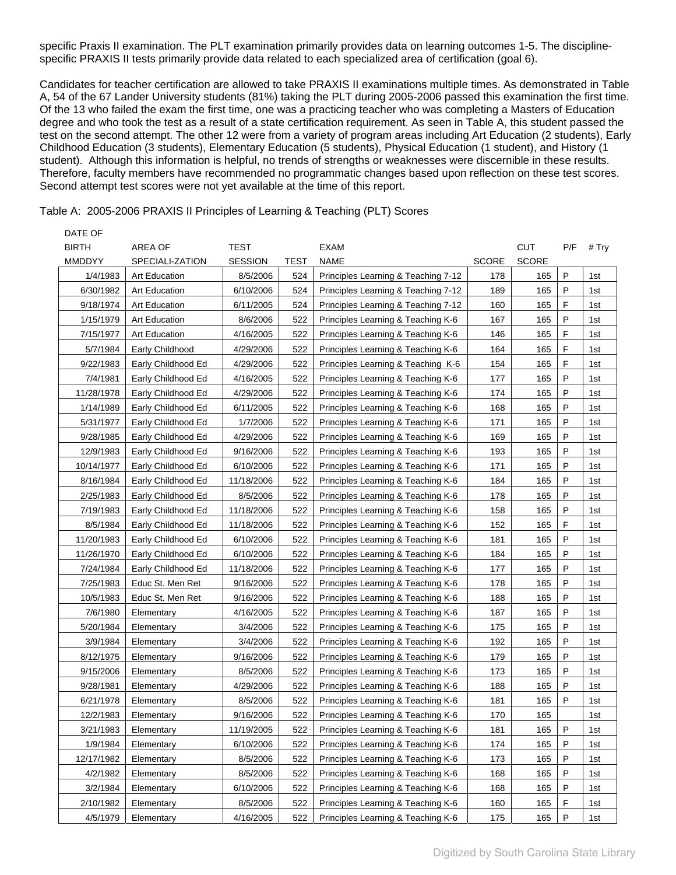specific Praxis II examination. The PLT examination primarily provides data on learning outcomes 1-5. The disciplinespecific PRAXIS II tests primarily provide data related to each specialized area of certification (goal 6).

Candidates for teacher certification are allowed to take PRAXIS II examinations multiple times. As demonstrated in Table A, 54 of the 67 Lander University students (81%) taking the PLT during 2005-2006 passed this examination the first time. Of the 13 who failed the exam the first time, one was a practicing teacher who was completing a Masters of Education degree and who took the test as a result of a state certification requirement. As seen in Table A, this student passed the test on the second attempt. The other 12 were from a variety of program areas including Art Education (2 students), Early Childhood Education (3 students), Elementary Education (5 students), Physical Education (1 student), and History (1 student). Although this information is helpful, no trends of strengths or weaknesses were discernible in these results. Therefore, faculty members have recommended no programmatic changes based upon reflection on these test scores. Second attempt test scores were not yet available at the time of this report.

Table A: 2005-2006 PRAXIS II Principles of Learning & Teaching (PLT) Scores

 $\overline{a}$  defined as  $\overline{a}$ 

| DAIE OF      |                      |                |             |                                     |              |              |         |       |
|--------------|----------------------|----------------|-------------|-------------------------------------|--------------|--------------|---------|-------|
| <b>BIRTH</b> | AREA OF              | TEST           |             | EXAM                                |              | <b>CUT</b>   | P/F     | # Try |
| MMDDYY       | SPECIALI-ZATION      | <b>SESSION</b> | <b>TEST</b> | <b>NAME</b>                         | <b>SCORE</b> | <b>SCORE</b> |         |       |
| 1/4/1983     | Art Education        | 8/5/2006       | 524         | Principles Learning & Teaching 7-12 | 178          | 165          | P       | 1st   |
| 6/30/1982    | <b>Art Education</b> | 6/10/2006      | 524         | Principles Learning & Teaching 7-12 | 189          | 165          | P       | 1st   |
| 9/18/1974    | <b>Art Education</b> | 6/11/2005      | 524         | Principles Learning & Teaching 7-12 | 160          | 165          | F       | 1st   |
| 1/15/1979    | <b>Art Education</b> | 8/6/2006       | 522         | Principles Learning & Teaching K-6  | 167          | 165          | P       | 1st   |
| 7/15/1977    | <b>Art Education</b> | 4/16/2005      | 522         | Principles Learning & Teaching K-6  | 146          | 165          | F       | 1st   |
| 5/7/1984     | Early Childhood      | 4/29/2006      | 522         | Principles Learning & Teaching K-6  | 164          | 165          | F       | 1st   |
| 9/22/1983    | Early Childhood Ed   | 4/29/2006      | 522         | Principles Learning & Teaching K-6  | 154          | 165          | F       | 1st   |
| 7/4/1981     | Early Childhood Ed   | 4/16/2005      | 522         | Principles Learning & Teaching K-6  | 177          | 165          | P       | 1st   |
| 11/28/1978   | Early Childhood Ed   | 4/29/2006      | 522         | Principles Learning & Teaching K-6  | 174          | 165          | Ρ       | 1st   |
| 1/14/1989    | Early Childhood Ed   | 6/11/2005      | 522         | Principles Learning & Teaching K-6  | 168          | 165          | P       | 1st   |
| 5/31/1977    | Early Childhood Ed   | 1/7/2006       | 522         | Principles Learning & Teaching K-6  | 171          | 165          | P       | 1st   |
| 9/28/1985    | Early Childhood Ed   | 4/29/2006      | 522         | Principles Learning & Teaching K-6  | 169          | 165          | P       | 1st   |
| 12/9/1983    | Early Childhood Ed   | 9/16/2006      | 522         | Principles Learning & Teaching K-6  | 193          | 165          | P       | 1st   |
| 10/14/1977   | Early Childhood Ed   | 6/10/2006      | 522         | Principles Learning & Teaching K-6  | 171          | 165          | P       | 1st   |
| 8/16/1984    | Early Childhood Ed   | 11/18/2006     | 522         | Principles Learning & Teaching K-6  | 184          | 165          | P       | 1st   |
| 2/25/1983    | Early Childhood Ed   | 8/5/2006       | 522         | Principles Learning & Teaching K-6  | 178          | 165          | P       | 1st   |
| 7/19/1983    | Early Childhood Ed   | 11/18/2006     | 522         | Principles Learning & Teaching K-6  | 158          | 165          | P       | 1st   |
| 8/5/1984     | Early Childhood Ed   | 11/18/2006     | 522         | Principles Learning & Teaching K-6  | 152          | 165          | F       | 1st   |
| 11/20/1983   | Early Childhood Ed   | 6/10/2006      | 522         | Principles Learning & Teaching K-6  | 181          | 165          | P       | 1st   |
| 11/26/1970   | Early Childhood Ed   | 6/10/2006      | 522         | Principles Learning & Teaching K-6  | 184          | 165          | P       | 1st   |
| 7/24/1984    | Early Childhood Ed   | 11/18/2006     | 522         | Principles Learning & Teaching K-6  | 177          | 165          | P       | 1st   |
| 7/25/1983    | Educ St. Men Ret     | 9/16/2006      | 522         | Principles Learning & Teaching K-6  | 178          | 165          | P       | 1st   |
| 10/5/1983    | Educ St. Men Ret     | 9/16/2006      | 522         | Principles Learning & Teaching K-6  | 188          | 165          | P       | 1st   |
| 7/6/1980     | Elementary           | 4/16/2005      | 522         | Principles Learning & Teaching K-6  | 187          | 165          | P       | 1st   |
| 5/20/1984    | Elementary           | 3/4/2006       | 522         | Principles Learning & Teaching K-6  | 175          | 165          | P       | 1st   |
| 3/9/1984     | Elementary           | 3/4/2006       | 522         | Principles Learning & Teaching K-6  | 192          | 165          | P       | 1st   |
| 8/12/1975    | Elementary           | 9/16/2006      | 522         | Principles Learning & Teaching K-6  | 179          | 165          | P       | 1st   |
| 9/15/2006    | Elementary           | 8/5/2006       | 522         | Principles Learning & Teaching K-6  | 173          | 165          | P       | 1st   |
| 9/28/1981    | Elementary           | 4/29/2006      | 522         | Principles Learning & Teaching K-6  | 188          | 165          | P       | 1st   |
| 6/21/1978    | Elementary           | 8/5/2006       | 522         | Principles Learning & Teaching K-6  | 181          | 165          | P       | 1st   |
| 12/2/1983    | Elementary           | 9/16/2006      | 522         | Principles Learning & Teaching K-6  | 170          | 165          |         | 1st   |
| 3/21/1983    | Elementary           | 11/19/2005     | 522         | Principles Learning & Teaching K-6  | 181          | 165          | $\sf P$ | 1st   |
| 1/9/1984     | Elementary           | 6/10/2006      | 522         | Principles Learning & Teaching K-6  | 174          | 165          | Ρ       | 1st   |
| 12/17/1982   | Elementary           | 8/5/2006       | 522         | Principles Learning & Teaching K-6  | 173          | 165          | P       | 1st   |
| 4/2/1982     | Elementary           | 8/5/2006       | 522         | Principles Learning & Teaching K-6  | 168          | 165          | P       | 1st   |
| 3/2/1984     | Elementary           | 6/10/2006      | 522         | Principles Learning & Teaching K-6  | 168          | 165          | Ρ       | 1st   |
| 2/10/1982    | Elementary           | 8/5/2006       | 522         | Principles Learning & Teaching K-6  | 160          | 165          | F       |       |
|              |                      |                |             |                                     |              |              | Ρ       | 1st   |
| 4/5/1979     | Elementary           | 4/16/2005      | 522         | Principles Learning & Teaching K-6  | 175          | 165          |         | 1st   |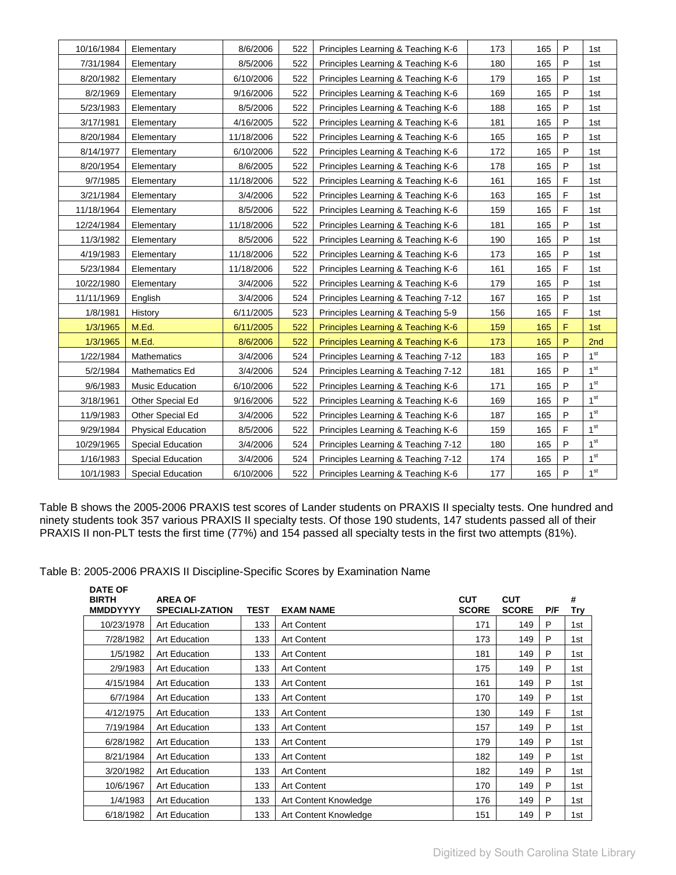| 10/16/1984 | Elementary                | 8/6/2006   | 522 | Principles Learning & Teaching K-6  | 173 | 165 | P           | 1st             |
|------------|---------------------------|------------|-----|-------------------------------------|-----|-----|-------------|-----------------|
| 7/31/1984  | Elementary                | 8/5/2006   | 522 | Principles Learning & Teaching K-6  | 180 | 165 | P           | 1st             |
| 8/20/1982  | Elementary                | 6/10/2006  | 522 | Principles Learning & Teaching K-6  | 179 | 165 | P           | 1st             |
| 8/2/1969   | Elementary                | 9/16/2006  | 522 | Principles Learning & Teaching K-6  | 169 | 165 | P           | 1st             |
| 5/23/1983  | Elementary                | 8/5/2006   | 522 | Principles Learning & Teaching K-6  | 188 | 165 | $\sf P$     | 1st             |
| 3/17/1981  | Elementary                | 4/16/2005  | 522 | Principles Learning & Teaching K-6  | 181 | 165 | P           | 1st             |
| 8/20/1984  | Elementary                | 11/18/2006 | 522 | Principles Learning & Teaching K-6  | 165 | 165 | $\sf P$     | 1st             |
| 8/14/1977  | Elementary                | 6/10/2006  | 522 | Principles Learning & Teaching K-6  | 172 | 165 | P           | 1st             |
| 8/20/1954  | Elementary                | 8/6/2005   | 522 | Principles Learning & Teaching K-6  | 178 | 165 | $\sf P$     | 1st             |
| 9/7/1985   | Elementary                | 11/18/2006 | 522 | Principles Learning & Teaching K-6  | 161 | 165 | F           | 1st             |
| 3/21/1984  | Elementary                | 3/4/2006   | 522 | Principles Learning & Teaching K-6  | 163 | 165 | $\mathsf F$ | 1st             |
| 11/18/1964 | Elementary                | 8/5/2006   | 522 | Principles Learning & Teaching K-6  | 159 | 165 | F           | 1st             |
| 12/24/1984 | Elementary                | 11/18/2006 | 522 | Principles Learning & Teaching K-6  | 181 | 165 | $\sf P$     | 1st             |
| 11/3/1982  | Elementary                | 8/5/2006   | 522 | Principles Learning & Teaching K-6  | 190 | 165 | P           | 1st             |
| 4/19/1983  | Elementary                | 11/18/2006 | 522 | Principles Learning & Teaching K-6  | 173 | 165 | P           | 1st             |
| 5/23/1984  | Elementary                | 11/18/2006 | 522 | Principles Learning & Teaching K-6  | 161 | 165 | F           | 1st             |
| 10/22/1980 | Elementary                | 3/4/2006   | 522 | Principles Learning & Teaching K-6  | 179 | 165 | P           | 1st             |
| 11/11/1969 | English                   | 3/4/2006   | 524 | Principles Learning & Teaching 7-12 | 167 | 165 | P           | 1st             |
| 1/8/1981   | History                   | 6/11/2005  | 523 | Principles Learning & Teaching 5-9  | 156 | 165 | F           | 1st             |
| 1/3/1965   | M.Ed.                     | 6/11/2005  | 522 | Principles Learning & Teaching K-6  | 159 | 165 | F           | 1st             |
| 1/3/1965   | M.Ed.                     | 8/6/2006   | 522 | Principles Learning & Teaching K-6  | 173 | 165 | P           | 2nd             |
| 1/22/1984  | Mathematics               | 3/4/2006   | 524 | Principles Learning & Teaching 7-12 | 183 | 165 | P           | 1 <sup>st</sup> |
| 5/2/1984   | Mathematics Ed            | 3/4/2006   | 524 | Principles Learning & Teaching 7-12 | 181 | 165 | P           | 1 <sup>st</sup> |
| 9/6/1983   | <b>Music Education</b>    | 6/10/2006  | 522 | Principles Learning & Teaching K-6  | 171 | 165 | $\sf P$     | 1 <sup>st</sup> |
| 3/18/1961  | Other Special Ed          | 9/16/2006  | 522 | Principles Learning & Teaching K-6  | 169 | 165 | P           | 1 <sup>st</sup> |
| 11/9/1983  | Other Special Ed          | 3/4/2006   | 522 | Principles Learning & Teaching K-6  | 187 | 165 | P           | 1 <sup>st</sup> |
| 9/29/1984  | <b>Physical Education</b> | 8/5/2006   | 522 | Principles Learning & Teaching K-6  | 159 | 165 | F           | 1 <sup>st</sup> |
| 10/29/1965 | Special Education         | 3/4/2006   | 524 | Principles Learning & Teaching 7-12 | 180 | 165 | $\sf P$     | 1 <sup>st</sup> |
| 1/16/1983  | <b>Special Education</b>  | 3/4/2006   | 524 | Principles Learning & Teaching 7-12 | 174 | 165 | P           | 1 <sup>st</sup> |
| 10/1/1983  | <b>Special Education</b>  | 6/10/2006  | 522 | Principles Learning & Teaching K-6  | 177 | 165 | P           | 1 <sup>st</sup> |

Table B shows the 2005-2006 PRAXIS test scores of Lander students on PRAXIS II specialty tests. One hundred and ninety students took 357 various PRAXIS II specialty tests. Of those 190 students, 147 students passed all of their PRAXIS II non-PLT tests the first time (77%) and 154 passed all specialty tests in the first two attempts (81%).

Table B: 2005-2006 PRAXIS II Discipline-Specific Scores by Examination Name

| <b>DATE OF</b><br><b>BIRTH</b><br><b>MMDDYYYY</b> | <b>AREA OF</b><br><b>SPECIALI-ZATION</b> | <b>TEST</b> | <b>EXAM NAME</b>      | <b>CUT</b><br><b>SCORE</b> | <b>CUT</b><br><b>SCORE</b> | P/F | #<br>Try |
|---------------------------------------------------|------------------------------------------|-------------|-----------------------|----------------------------|----------------------------|-----|----------|
| 10/23/1978                                        | <b>Art Education</b>                     | 133         | <b>Art Content</b>    | 171                        | 149                        | P   | 1st      |
| 7/28/1982                                         | <b>Art Education</b>                     | 133         | <b>Art Content</b>    | 173                        | 149                        | P   | 1st      |
| 1/5/1982                                          | <b>Art Education</b>                     | 133         | <b>Art Content</b>    | 181                        | 149                        | P   | 1st      |
| 2/9/1983                                          | <b>Art Education</b>                     | 133         | <b>Art Content</b>    | 175                        | 149                        | P   | 1st      |
| 4/15/1984                                         | <b>Art Education</b>                     | 133         | <b>Art Content</b>    | 161                        | 149                        | P   | 1st      |
| 6/7/1984                                          | <b>Art Education</b>                     | 133         | <b>Art Content</b>    | 170                        | 149                        | P   | 1st      |
| 4/12/1975                                         | <b>Art Education</b>                     | 133         | <b>Art Content</b>    | 130                        | 149                        | F   | 1st      |
| 7/19/1984                                         | <b>Art Education</b>                     | 133         | <b>Art Content</b>    | 157                        | 149                        | P   | 1st      |
| 6/28/1982                                         | <b>Art Education</b>                     | 133         | <b>Art Content</b>    | 179                        | 149                        | P   | 1st      |
| 8/21/1984                                         | <b>Art Education</b>                     | 133         | <b>Art Content</b>    | 182                        | 149                        | P   | 1st      |
| 3/20/1982                                         | <b>Art Education</b>                     | 133         | <b>Art Content</b>    | 182                        | 149                        | P   | 1st      |
| 10/6/1967                                         | <b>Art Education</b>                     | 133         | <b>Art Content</b>    | 170                        | 149                        | P   | 1st      |
| 1/4/1983                                          | <b>Art Education</b>                     | 133         | Art Content Knowledge | 176                        | 149                        | P   | 1st      |
| 6/18/1982                                         | <b>Art Education</b>                     | 133         | Art Content Knowledge | 151                        | 149                        | P   | 1st      |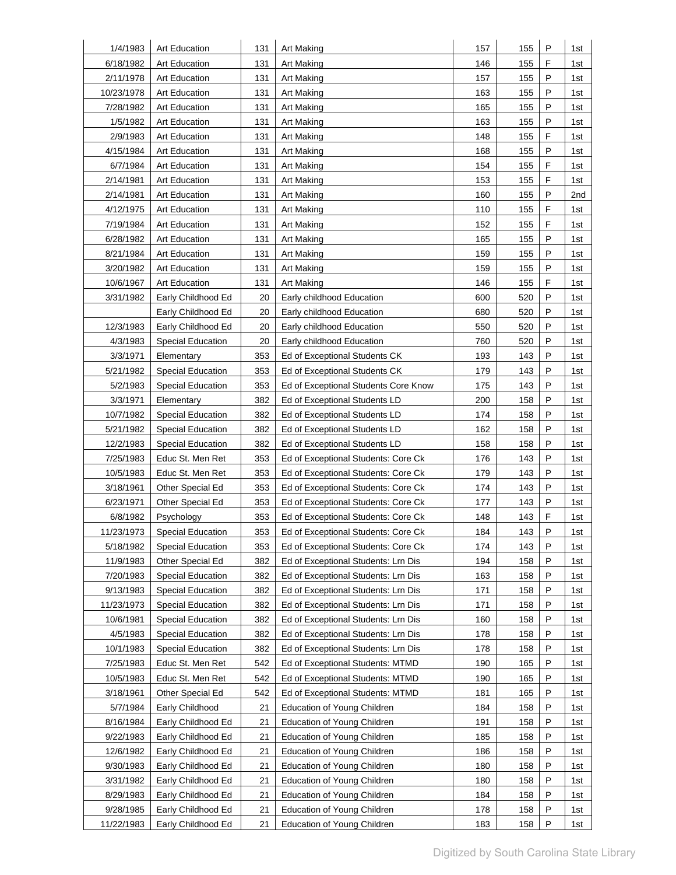| 1/4/1983   | <b>Art Education</b>     | 131 | Art Making                           | 157 | 155 | P | 1st |
|------------|--------------------------|-----|--------------------------------------|-----|-----|---|-----|
| 6/18/1982  | <b>Art Education</b>     | 131 | Art Making                           | 146 | 155 | F | 1st |
| 2/11/1978  | <b>Art Education</b>     | 131 | Art Making                           | 157 | 155 | Ρ | 1st |
| 10/23/1978 | <b>Art Education</b>     | 131 | Art Making                           | 163 | 155 | P | 1st |
| 7/28/1982  | <b>Art Education</b>     | 131 | <b>Art Making</b>                    | 165 | 155 | P | 1st |
| 1/5/1982   | <b>Art Education</b>     | 131 | Art Making                           | 163 | 155 | P | 1st |
| 2/9/1983   | Art Education            | 131 | Art Making                           | 148 | 155 | F | 1st |
| 4/15/1984  | <b>Art Education</b>     | 131 | Art Making                           | 168 | 155 | P | 1st |
| 6/7/1984   | <b>Art Education</b>     | 131 | Art Making                           | 154 | 155 | F | 1st |
| 2/14/1981  | <b>Art Education</b>     | 131 | Art Making                           | 153 | 155 | F | 1st |
| 2/14/1981  | <b>Art Education</b>     | 131 | Art Making                           | 160 | 155 | P | 2nd |
| 4/12/1975  | <b>Art Education</b>     | 131 | Art Making                           | 110 | 155 | F | 1st |
| 7/19/1984  | <b>Art Education</b>     | 131 | Art Making                           | 152 | 155 | F | 1st |
| 6/28/1982  | <b>Art Education</b>     | 131 | Art Making                           | 165 | 155 | P | 1st |
| 8/21/1984  | <b>Art Education</b>     | 131 | Art Making                           | 159 | 155 | P | 1st |
| 3/20/1982  | <b>Art Education</b>     | 131 | Art Making                           | 159 | 155 | P | 1st |
| 10/6/1967  | <b>Art Education</b>     | 131 | Art Making                           | 146 | 155 | F | 1st |
| 3/31/1982  | Early Childhood Ed       | 20  | Early childhood Education            | 600 | 520 | P | 1st |
|            | Early Childhood Ed       | 20  | Early childhood Education            | 680 | 520 | P | 1st |
| 12/3/1983  | Early Childhood Ed       | 20  | Early childhood Education            | 550 | 520 | P | 1st |
| 4/3/1983   | Special Education        | 20  | Early childhood Education            | 760 | 520 | P | 1st |
| 3/3/1971   | Elementary               | 353 | Ed of Exceptional Students CK        | 193 | 143 | P | 1st |
| 5/21/1982  | Special Education        | 353 | Ed of Exceptional Students CK        | 179 | 143 | P | 1st |
| 5/2/1983   | <b>Special Education</b> | 353 | Ed of Exceptional Students Core Know | 175 | 143 | P | 1st |
| 3/3/1971   | Elementary               | 382 | Ed of Exceptional Students LD        | 200 | 158 | P | 1st |
| 10/7/1982  | <b>Special Education</b> | 382 | Ed of Exceptional Students LD        | 174 | 158 | P | 1st |
| 5/21/1982  | <b>Special Education</b> | 382 | Ed of Exceptional Students LD        | 162 | 158 | P | 1st |
| 12/2/1983  | Special Education        | 382 | Ed of Exceptional Students LD        | 158 | 158 | P | 1st |
| 7/25/1983  | Educ St. Men Ret         | 353 | Ed of Exceptional Students: Core Ck  | 176 | 143 | P | 1st |
| 10/5/1983  | Educ St. Men Ret         | 353 | Ed of Exceptional Students: Core Ck  | 179 | 143 | P | 1st |
| 3/18/1961  | Other Special Ed         | 353 | Ed of Exceptional Students: Core Ck  | 174 | 143 | P | 1st |
| 6/23/1971  | Other Special Ed         | 353 | Ed of Exceptional Students: Core Ck  | 177 | 143 | P | 1st |
| 6/8/1982   | Psychology               | 353 | Ed of Exceptional Students: Core Ck  | 148 | 143 | F | 1st |
| 11/23/1973 | <b>Special Education</b> | 353 | Ed of Exceptional Students: Core Ck  | 184 | 143 | P | 1st |
| 5/18/1982  | Special Education        | 353 | Ed of Exceptional Students: Core Ck  | 174 | 143 | P | 1st |
| 11/9/1983  | Other Special Ed         | 382 | Ed of Exceptional Students: Lrn Dis  | 194 | 158 | P | 1st |
| 7/20/1983  | Special Education        | 382 | Ed of Exceptional Students: Lrn Dis  | 163 | 158 | P | 1st |
| 9/13/1983  | Special Education        | 382 | Ed of Exceptional Students: Lrn Dis  | 171 | 158 | P | 1st |
| 11/23/1973 | Special Education        | 382 | Ed of Exceptional Students: Lrn Dis  | 171 | 158 | Р | 1st |
| 10/6/1981  | Special Education        | 382 | Ed of Exceptional Students: Lrn Dis  | 160 | 158 | P | 1st |
| 4/5/1983   | <b>Special Education</b> | 382 | Ed of Exceptional Students: Lrn Dis  | 178 | 158 | Ρ | 1st |
| 10/1/1983  | <b>Special Education</b> | 382 | Ed of Exceptional Students: Lrn Dis  | 178 | 158 | P | 1st |
| 7/25/1983  | Educ St. Men Ret         | 542 | Ed of Exceptional Students: MTMD     | 190 | 165 | P | 1st |
| 10/5/1983  | Educ St. Men Ret         | 542 | Ed of Exceptional Students: MTMD     | 190 | 165 | P | 1st |
| 3/18/1961  | Other Special Ed         | 542 | Ed of Exceptional Students: MTMD     | 181 | 165 | P | 1st |
| 5/7/1984   | Early Childhood          | 21  | <b>Education of Young Children</b>   | 184 | 158 | Ρ | 1st |
| 8/16/1984  | Early Childhood Ed       | 21  | Education of Young Children          | 191 | 158 | P | 1st |
| 9/22/1983  | Early Childhood Ed       | 21  | Education of Young Children          | 185 | 158 | Ρ | 1st |
| 12/6/1982  | Early Childhood Ed       | 21  | Education of Young Children          | 186 | 158 | P | 1st |
| 9/30/1983  | Early Childhood Ed       | 21  | Education of Young Children          | 180 | 158 | P | 1st |
| 3/31/1982  | Early Childhood Ed       | 21  | Education of Young Children          | 180 | 158 | P | 1st |
| 8/29/1983  | Early Childhood Ed       | 21  | Education of Young Children          | 184 | 158 | P | 1st |
| 9/28/1985  | Early Childhood Ed       | 21  | <b>Education of Young Children</b>   | 178 | 158 | Ρ | 1st |
| 11/22/1983 | Early Childhood Ed       | 21  | Education of Young Children          | 183 | 158 | P | 1st |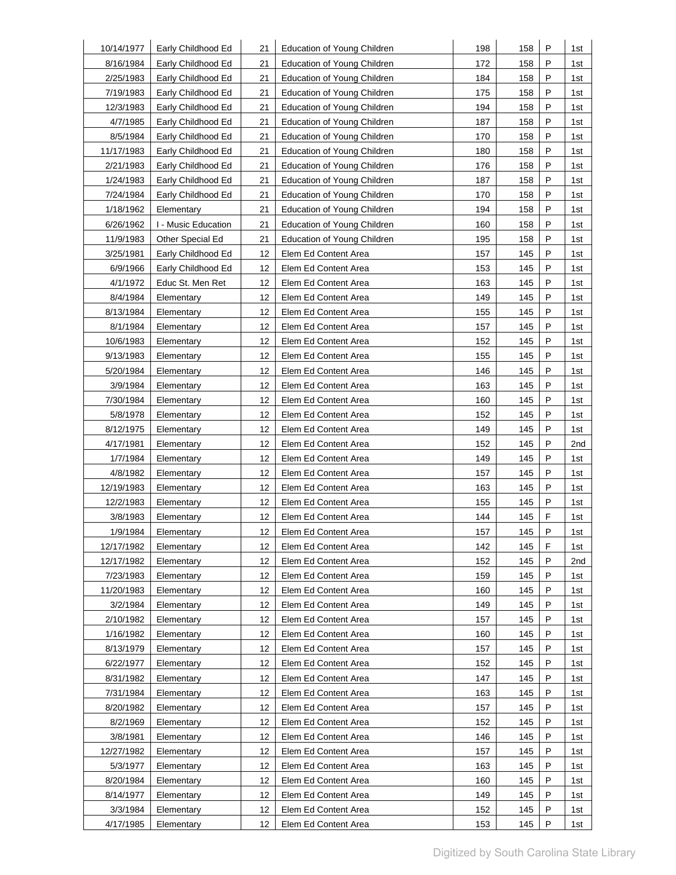| 10/14/1977 | Early Childhood Ed  | 21              | Education of Young Children        | 198 | 158 | P | 1st |
|------------|---------------------|-----------------|------------------------------------|-----|-----|---|-----|
| 8/16/1984  | Early Childhood Ed  | 21              | <b>Education of Young Children</b> | 172 | 158 | P | 1st |
| 2/25/1983  | Early Childhood Ed  | 21              | Education of Young Children        | 184 | 158 | P | 1st |
| 7/19/1983  | Early Childhood Ed  | 21              | Education of Young Children        | 175 | 158 | P | 1st |
| 12/3/1983  | Early Childhood Ed  | 21              | Education of Young Children        | 194 | 158 | P | 1st |
| 4/7/1985   | Early Childhood Ed  | 21              | Education of Young Children        | 187 | 158 | P | 1st |
| 8/5/1984   | Early Childhood Ed  | 21              | Education of Young Children        | 170 | 158 | P | 1st |
| 11/17/1983 | Early Childhood Ed  | 21              | Education of Young Children        | 180 | 158 | P | 1st |
| 2/21/1983  | Early Childhood Ed  | 21              | Education of Young Children        | 176 | 158 | P | 1st |
| 1/24/1983  | Early Childhood Ed  | 21              | Education of Young Children        | 187 | 158 | P | 1st |
| 7/24/1984  | Early Childhood Ed  | 21              | Education of Young Children        | 170 | 158 | P | 1st |
| 1/18/1962  | Elementary          | 21              | Education of Young Children        | 194 | 158 | P | 1st |
| 6/26/1962  | I - Music Education | 21              | Education of Young Children        | 160 | 158 | P | 1st |
| 11/9/1983  | Other Special Ed    | 21              | Education of Young Children        | 195 | 158 | P | 1st |
| 3/25/1981  | Early Childhood Ed  | 12              | Elem Ed Content Area               | 157 | 145 | P | 1st |
| 6/9/1966   | Early Childhood Ed  | 12              | Elem Ed Content Area               | 153 | 145 | P | 1st |
| 4/1/1972   | Educ St. Men Ret    | 12              | Elem Ed Content Area               | 163 | 145 | P | 1st |
| 8/4/1984   | Elementary          | 12              | Elem Ed Content Area               | 149 | 145 | P | 1st |
| 8/13/1984  | Elementary          | 12              | Elem Ed Content Area               | 155 | 145 | P | 1st |
| 8/1/1984   | Elementary          | 12              | Elem Ed Content Area               | 157 | 145 | P | 1st |
| 10/6/1983  | Elementary          | 12              | Elem Ed Content Area               | 152 | 145 | P | 1st |
| 9/13/1983  | Elementary          | 12              | Elem Ed Content Area               | 155 | 145 | P | 1st |
| 5/20/1984  | Elementary          | 12              | Elem Ed Content Area               | 146 | 145 | P | 1st |
| 3/9/1984   | Elementary          | 12              | Elem Ed Content Area               | 163 | 145 | P | 1st |
| 7/30/1984  | Elementary          | 12              | Elem Ed Content Area               | 160 | 145 | Ρ | 1st |
| 5/8/1978   | Elementary          | 12              | Elem Ed Content Area               | 152 | 145 | P | 1st |
| 8/12/1975  | Elementary          | 12              | Elem Ed Content Area               | 149 | 145 | P | 1st |
| 4/17/1981  | Elementary          | 12              | Elem Ed Content Area               | 152 | 145 | P | 2nd |
| 1/7/1984   | Elementary          | 12              | Elem Ed Content Area               | 149 | 145 | P | 1st |
| 4/8/1982   | Elementary          | 12              | Elem Ed Content Area               | 157 | 145 | P | 1st |
| 12/19/1983 | Elementary          | 12              | Elem Ed Content Area               | 163 | 145 | P | 1st |
| 12/2/1983  | Elementary          | 12              | Elem Ed Content Area               | 155 | 145 | P | 1st |
| 3/8/1983   | Elementary          | 12              | Elem Ed Content Area               | 144 | 145 | F | 1st |
| 1/9/1984   | Elementary          | 12 <sup>°</sup> | Elem Ed Content Area               | 157 | 145 | P | 1st |
| 12/17/1982 | Elementary          | 12              | Elem Ed Content Area               | 142 | 145 | F | 1st |
| 12/17/1982 | Elementary          | 12              | Elem Ed Content Area               | 152 | 145 | P | 2nd |
| 7/23/1983  | Elementary          | 12              | Elem Ed Content Area               | 159 | 145 | Ρ | 1st |
| 11/20/1983 | Elementary          | 12              | Elem Ed Content Area               | 160 | 145 | P | 1st |
| 3/2/1984   | Elementary          | 12              | Elem Ed Content Area               | 149 | 145 | P | 1st |
| 2/10/1982  | Elementary          | 12              | Elem Ed Content Area               | 157 | 145 | P | 1st |
| 1/16/1982  | Elementary          | 12              | Elem Ed Content Area               | 160 | 145 | P | 1st |
| 8/13/1979  | Elementary          | 12              | Elem Ed Content Area               | 157 | 145 | P | 1st |
| 6/22/1977  | Elementary          | 12              | Elem Ed Content Area               | 152 | 145 | P | 1st |
| 8/31/1982  | Elementary          | 12              | Elem Ed Content Area               | 147 | 145 | P | 1st |
| 7/31/1984  | Elementary          | 12              | Elem Ed Content Area               | 163 | 145 | Р | 1st |
| 8/20/1982  | Elementary          | 12              | Elem Ed Content Area               | 157 | 145 | P | 1st |
| 8/2/1969   | Elementary          | 12              | Elem Ed Content Area               | 152 | 145 | P | 1st |
| 3/8/1981   | Elementary          | 12              | Elem Ed Content Area               | 146 | 145 | P | 1st |
| 12/27/1982 | Elementary          | 12              | Elem Ed Content Area               | 157 | 145 | Ρ | 1st |
| 5/3/1977   | Elementary          | 12              | Elem Ed Content Area               | 163 | 145 | P | 1st |
| 8/20/1984  | Elementary          | 12              | Elem Ed Content Area               | 160 | 145 | P | 1st |
| 8/14/1977  | Elementary          | 12              | Elem Ed Content Area               | 149 | 145 | P | 1st |
| 3/3/1984   | Elementary          | 12              | Elem Ed Content Area               | 152 | 145 | P | 1st |
| 4/17/1985  | Elementary          | 12              | Elem Ed Content Area               | 153 | 145 | P | 1st |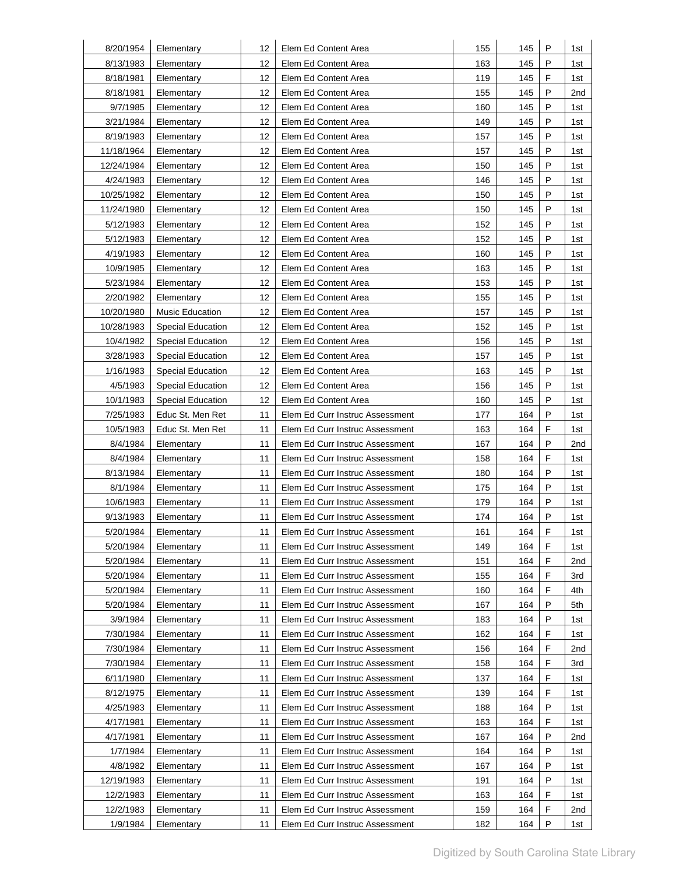| 8/20/1954  | Elementary               | 12 | Elem Ed Content Area            | 155 | 145 | P | 1st |
|------------|--------------------------|----|---------------------------------|-----|-----|---|-----|
| 8/13/1983  | Elementary               | 12 | Elem Ed Content Area            | 163 | 145 | P | 1st |
| 8/18/1981  | Elementary               | 12 | Elem Ed Content Area            | 119 | 145 | F | 1st |
| 8/18/1981  | Elementary               | 12 | Elem Ed Content Area            | 155 | 145 | P | 2nd |
| 9/7/1985   | Elementary               | 12 | Elem Ed Content Area            | 160 | 145 | P | 1st |
| 3/21/1984  | Elementary               | 12 | Elem Ed Content Area            | 149 | 145 | P | 1st |
| 8/19/1983  | Elementary               | 12 | Elem Ed Content Area            | 157 | 145 | P | 1st |
| 11/18/1964 | Elementary               | 12 | Elem Ed Content Area            | 157 | 145 | P | 1st |
| 12/24/1984 | Elementary               | 12 | Elem Ed Content Area            | 150 | 145 | P | 1st |
| 4/24/1983  | Elementary               | 12 | Elem Ed Content Area            | 146 | 145 | P | 1st |
| 10/25/1982 | Elementary               | 12 | Elem Ed Content Area            | 150 | 145 | P | 1st |
| 11/24/1980 | Elementary               | 12 | Elem Ed Content Area            | 150 | 145 | P | 1st |
| 5/12/1983  | Elementary               | 12 | Elem Ed Content Area            | 152 | 145 | P | 1st |
| 5/12/1983  | Elementary               | 12 | Elem Ed Content Area            | 152 | 145 | P | 1st |
| 4/19/1983  | Elementary               | 12 | Elem Ed Content Area            | 160 | 145 | P | 1st |
| 10/9/1985  | Elementary               | 12 | Elem Ed Content Area            | 163 | 145 | P | 1st |
| 5/23/1984  | Elementary               | 12 | Elem Ed Content Area            | 153 | 145 | P | 1st |
| 2/20/1982  | Elementary               | 12 | Elem Ed Content Area            | 155 | 145 | P | 1st |
| 10/20/1980 | <b>Music Education</b>   | 12 | Elem Ed Content Area            | 157 | 145 | P | 1st |
| 10/28/1983 | <b>Special Education</b> | 12 | Elem Ed Content Area            | 152 | 145 | P | 1st |
| 10/4/1982  | <b>Special Education</b> | 12 | Elem Ed Content Area            | 156 | 145 | P | 1st |
| 3/28/1983  | <b>Special Education</b> | 12 | Elem Ed Content Area            | 157 | 145 | P | 1st |
| 1/16/1983  | <b>Special Education</b> | 12 | Elem Ed Content Area            | 163 | 145 | P | 1st |
| 4/5/1983   | <b>Special Education</b> | 12 | Elem Ed Content Area            | 156 | 145 | P | 1st |
| 10/1/1983  | <b>Special Education</b> | 12 | Elem Ed Content Area            | 160 | 145 | P | 1st |
| 7/25/1983  | Educ St. Men Ret         | 11 | Elem Ed Curr Instruc Assessment | 177 | 164 | P | 1st |
| 10/5/1983  | Educ St. Men Ret         | 11 | Elem Ed Curr Instruc Assessment | 163 | 164 | F | 1st |
| 8/4/1984   | Elementary               | 11 | Elem Ed Curr Instruc Assessment | 167 | 164 | P | 2nd |
| 8/4/1984   | Elementary               | 11 | Elem Ed Curr Instruc Assessment | 158 | 164 | F | 1st |
| 8/13/1984  | Elementary               | 11 | Elem Ed Curr Instruc Assessment | 180 | 164 | P | 1st |
| 8/1/1984   | Elementary               | 11 | Elem Ed Curr Instruc Assessment | 175 | 164 | P | 1st |
| 10/6/1983  | Elementary               | 11 | Elem Ed Curr Instruc Assessment | 179 | 164 | P | 1st |
| 9/13/1983  | Elementary               | 11 | Elem Ed Curr Instruc Assessment | 174 | 164 | P | 1st |
| 5/20/1984  | Elementary               | 11 | Elem Ed Curr Instruc Assessment | 161 | 164 | F | 1st |
| 5/20/1984  | Elementary               | 11 | Elem Ed Curr Instruc Assessment | 149 | 164 | F | 1st |
| 5/20/1984  | Elementary               | 11 | Elem Ed Curr Instruc Assessment | 151 | 164 | F | 2nd |
| 5/20/1984  | Elementary               | 11 | Elem Ed Curr Instruc Assessment | 155 | 164 | F | 3rd |
| 5/20/1984  | Elementary               | 11 | Elem Ed Curr Instruc Assessment | 160 | 164 | F | 4th |
| 5/20/1984  | Elementary               | 11 | Elem Ed Curr Instruc Assessment | 167 | 164 | P | 5th |
| 3/9/1984   | Elementary               | 11 | Elem Ed Curr Instruc Assessment | 183 | 164 | P | 1st |
| 7/30/1984  | Elementary               | 11 | Elem Ed Curr Instruc Assessment | 162 | 164 | F | 1st |
| 7/30/1984  | Elementary               | 11 | Elem Ed Curr Instruc Assessment | 156 | 164 | F | 2nd |
| 7/30/1984  | Elementary               | 11 | Elem Ed Curr Instruc Assessment | 158 | 164 | F | 3rd |
| 6/11/1980  | Elementary               | 11 | Elem Ed Curr Instruc Assessment | 137 | 164 | F | 1st |
| 8/12/1975  | Elementary               | 11 | Elem Ed Curr Instruc Assessment | 139 | 164 | F | 1st |
| 4/25/1983  | Elementary               | 11 | Elem Ed Curr Instruc Assessment | 188 | 164 | P | 1st |
| 4/17/1981  | Elementary               | 11 | Elem Ed Curr Instruc Assessment | 163 | 164 | F | 1st |
| 4/17/1981  | Elementary               | 11 | Elem Ed Curr Instruc Assessment | 167 | 164 | P | 2nd |
| 1/7/1984   | Elementary               | 11 | Elem Ed Curr Instruc Assessment | 164 | 164 | Ρ | 1st |
| 4/8/1982   | Elementary               | 11 | Elem Ed Curr Instruc Assessment | 167 | 164 | P | 1st |
| 12/19/1983 | Elementary               | 11 | Elem Ed Curr Instruc Assessment | 191 | 164 | P | 1st |
| 12/2/1983  | Elementary               | 11 | Elem Ed Curr Instruc Assessment | 163 | 164 | F | 1st |
| 12/2/1983  | Elementary               | 11 | Elem Ed Curr Instruc Assessment | 159 | 164 | F | 2nd |
| 1/9/1984   | Elementary               | 11 | Elem Ed Curr Instruc Assessment | 182 | 164 | P | 1st |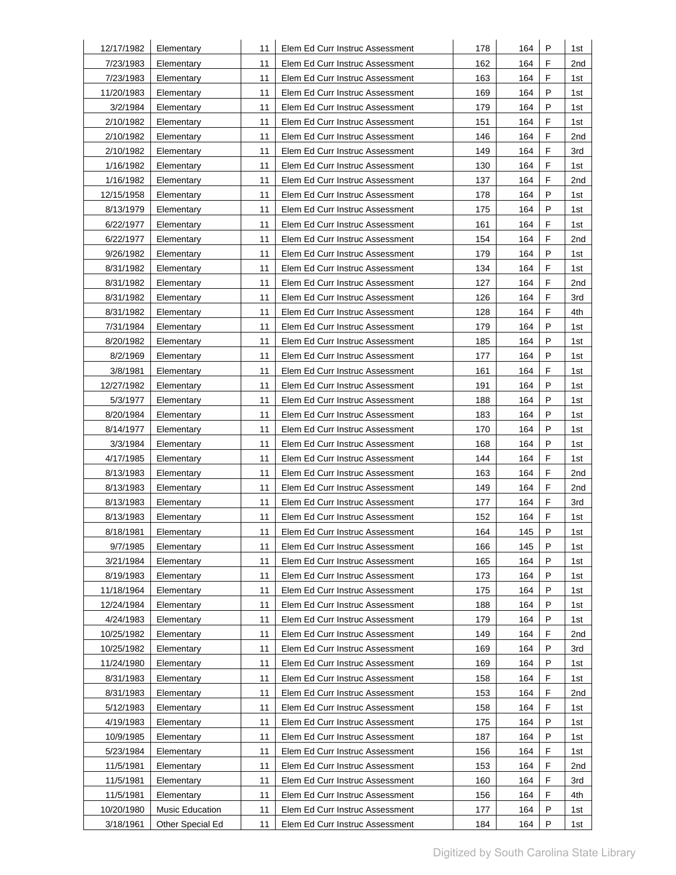| 12/17/1982 | Elementary       | 11 | Elem Ed Curr Instruc Assessment | 178 | 164 | Ρ           | 1st             |
|------------|------------------|----|---------------------------------|-----|-----|-------------|-----------------|
| 7/23/1983  | Elementary       | 11 | Elem Ed Curr Instruc Assessment | 162 | 164 | F           | 2nd             |
| 7/23/1983  | Elementary       | 11 | Elem Ed Curr Instruc Assessment | 163 | 164 | F           | 1st             |
| 11/20/1983 | Elementary       | 11 | Elem Ed Curr Instruc Assessment | 169 | 164 | P           | 1st             |
| 3/2/1984   | Elementary       | 11 | Elem Ed Curr Instruc Assessment | 179 | 164 | P           | 1st             |
| 2/10/1982  | Elementary       | 11 | Elem Ed Curr Instruc Assessment | 151 | 164 | F           | 1st             |
| 2/10/1982  | Elementary       | 11 | Elem Ed Curr Instruc Assessment | 146 | 164 | F           | 2nd             |
| 2/10/1982  | Elementary       | 11 | Elem Ed Curr Instruc Assessment | 149 | 164 | $\mathsf F$ | 3rd             |
| 1/16/1982  | Elementary       | 11 | Elem Ed Curr Instruc Assessment | 130 | 164 | F           | 1st             |
| 1/16/1982  | Elementary       | 11 | Elem Ed Curr Instruc Assessment | 137 | 164 | F           | 2nd             |
| 12/15/1958 | Elementary       | 11 | Elem Ed Curr Instruc Assessment | 178 | 164 | P           | 1st             |
| 8/13/1979  | Elementary       | 11 | Elem Ed Curr Instruc Assessment | 175 | 164 | P           | 1st             |
| 6/22/1977  | Elementary       | 11 | Elem Ed Curr Instruc Assessment | 161 | 164 | F           | 1st             |
| 6/22/1977  | Elementary       | 11 | Elem Ed Curr Instruc Assessment | 154 | 164 | F           | 2nd             |
| 9/26/1982  | Elementary       | 11 | Elem Ed Curr Instruc Assessment | 179 | 164 | P           | 1st             |
| 8/31/1982  | Elementary       | 11 | Elem Ed Curr Instruc Assessment | 134 | 164 | F           | 1st             |
| 8/31/1982  | Elementary       | 11 | Elem Ed Curr Instruc Assessment | 127 | 164 | F           | 2 <sub>nd</sub> |
| 8/31/1982  | Elementary       | 11 | Elem Ed Curr Instruc Assessment | 126 | 164 | F           | 3rd             |
| 8/31/1982  | Elementary       | 11 | Elem Ed Curr Instruc Assessment | 128 | 164 | F           | 4th             |
| 7/31/1984  | Elementary       | 11 | Elem Ed Curr Instruc Assessment | 179 | 164 | P           | 1st             |
| 8/20/1982  | Elementary       | 11 | Elem Ed Curr Instruc Assessment | 185 | 164 | P           | 1st             |
| 8/2/1969   | Elementary       | 11 | Elem Ed Curr Instruc Assessment | 177 | 164 | P           | 1st             |
| 3/8/1981   | Elementary       | 11 | Elem Ed Curr Instruc Assessment | 161 | 164 | F           | 1st             |
| 12/27/1982 | Elementary       | 11 | Elem Ed Curr Instruc Assessment | 191 | 164 | P           | 1st             |
| 5/3/1977   | Elementary       | 11 | Elem Ed Curr Instruc Assessment | 188 | 164 | P           | 1st             |
| 8/20/1984  | Elementary       | 11 | Elem Ed Curr Instruc Assessment | 183 | 164 | P           | 1st             |
| 8/14/1977  | Elementary       | 11 | Elem Ed Curr Instruc Assessment | 170 | 164 | P           | 1st             |
| 3/3/1984   | Elementary       | 11 | Elem Ed Curr Instruc Assessment | 168 | 164 | P           | 1st             |
| 4/17/1985  | Elementary       | 11 | Elem Ed Curr Instruc Assessment | 144 | 164 | F           | 1st             |
| 8/13/1983  | Elementary       | 11 | Elem Ed Curr Instruc Assessment | 163 | 164 | F           | 2nd             |
| 8/13/1983  | Elementary       | 11 | Elem Ed Curr Instruc Assessment | 149 | 164 | F           | 2nd             |
| 8/13/1983  | Elementary       | 11 | Elem Ed Curr Instruc Assessment | 177 | 164 | F           | 3rd             |
| 8/13/1983  | Elementary       | 11 | Elem Ed Curr Instruc Assessment | 152 | 164 | F           | 1st             |
| 8/18/1981  | Elementary       | 11 | Elem Ed Curr Instruc Assessment | 164 | 145 | P           | 1st             |
| 9/7/1985   | Elementary       | 11 | Elem Ed Curr Instruc Assessment | 166 | 145 | P           | 1st             |
| 3/21/1984  | Elementary       | 11 | Elem Ed Curr Instruc Assessment | 165 | 164 | P           | 1st             |
| 8/19/1983  | Elementary       | 11 | Elem Ed Curr Instruc Assessment | 173 | 164 | Ρ           | 1st             |
| 11/18/1964 | Elementary       | 11 | Elem Ed Curr Instruc Assessment | 175 | 164 | P           | 1st             |
| 12/24/1984 | Elementary       | 11 | Elem Ed Curr Instruc Assessment | 188 | 164 | P           | 1st             |
| 4/24/1983  | Elementary       | 11 | Elem Ed Curr Instruc Assessment | 179 | 164 | P           | 1st             |
| 10/25/1982 | Elementary       | 11 | Elem Ed Curr Instruc Assessment | 149 | 164 | F           | 2nd             |
| 10/25/1982 | Elementary       | 11 | Elem Ed Curr Instruc Assessment | 169 | 164 | P           | 3rd             |
| 11/24/1980 | Elementary       | 11 | Elem Ed Curr Instruc Assessment | 169 | 164 | P           | 1st             |
| 8/31/1983  | Elementary       | 11 | Elem Ed Curr Instruc Assessment | 158 | 164 | F           | 1st             |
| 8/31/1983  | Elementary       | 11 | Elem Ed Curr Instruc Assessment | 153 | 164 | F           | 2nd             |
| 5/12/1983  | Elementary       | 11 | Elem Ed Curr Instruc Assessment | 158 | 164 | F           | 1st             |
| 4/19/1983  | Elementary       | 11 | Elem Ed Curr Instruc Assessment | 175 | 164 | P           | 1st             |
| 10/9/1985  | Elementary       | 11 | Elem Ed Curr Instruc Assessment | 187 | 164 | P           | 1st             |
| 5/23/1984  | Elementary       | 11 | Elem Ed Curr Instruc Assessment | 156 | 164 | F           | 1st             |
| 11/5/1981  | Elementary       | 11 | Elem Ed Curr Instruc Assessment | 153 | 164 | F           | 2nd             |
| 11/5/1981  | Elementary       | 11 | Elem Ed Curr Instruc Assessment | 160 | 164 | F           | 3rd             |
| 11/5/1981  | Elementary       | 11 | Elem Ed Curr Instruc Assessment | 156 | 164 | F           | 4th             |
| 10/20/1980 | Music Education  | 11 | Elem Ed Curr Instruc Assessment | 177 | 164 | Ρ           | 1st             |
| 3/18/1961  | Other Special Ed | 11 | Elem Ed Curr Instruc Assessment | 184 | 164 | P           | 1st             |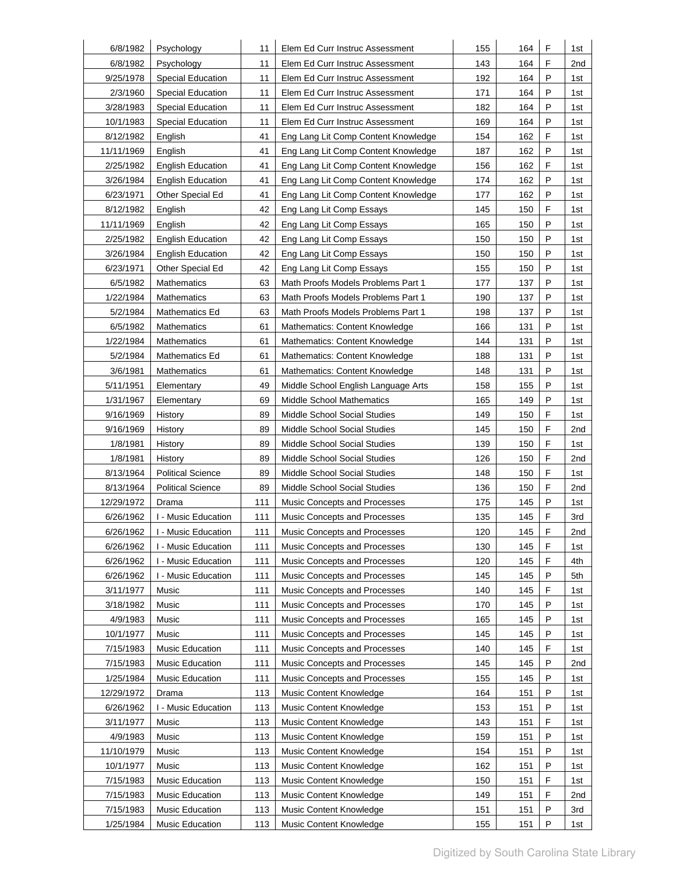| 6/8/1982   | Psychology               | 11  | Elem Ed Curr Instruc Assessment     | 155 | 164 | F | 1st |
|------------|--------------------------|-----|-------------------------------------|-----|-----|---|-----|
| 6/8/1982   | Psychology               | 11  | Elem Ed Curr Instruc Assessment     | 143 | 164 | F | 2nd |
| 9/25/1978  | <b>Special Education</b> | 11  | Elem Ed Curr Instruc Assessment     | 192 | 164 | P | 1st |
| 2/3/1960   | Special Education        | 11  | Elem Ed Curr Instruc Assessment     | 171 | 164 | P | 1st |
| 3/28/1983  | <b>Special Education</b> | 11  | Elem Ed Curr Instruc Assessment     | 182 | 164 | P | 1st |
| 10/1/1983  | Special Education        | 11  | Elem Ed Curr Instruc Assessment     | 169 | 164 | P | 1st |
| 8/12/1982  | English                  | 41  | Eng Lang Lit Comp Content Knowledge | 154 | 162 | F | 1st |
| 11/11/1969 | English                  | 41  | Eng Lang Lit Comp Content Knowledge | 187 | 162 | P | 1st |
| 2/25/1982  | <b>English Education</b> | 41  | Eng Lang Lit Comp Content Knowledge | 156 | 162 | F | 1st |
| 3/26/1984  | <b>English Education</b> | 41  | Eng Lang Lit Comp Content Knowledge | 174 | 162 | P | 1st |
| 6/23/1971  | Other Special Ed         | 41  | Eng Lang Lit Comp Content Knowledge | 177 | 162 | P | 1st |
| 8/12/1982  | English                  | 42  | Eng Lang Lit Comp Essays            | 145 | 150 | F | 1st |
| 11/11/1969 | English                  | 42  | Eng Lang Lit Comp Essays            | 165 | 150 | P | 1st |
| 2/25/1982  | <b>English Education</b> | 42  | Eng Lang Lit Comp Essays            | 150 | 150 | P | 1st |
| 3/26/1984  | <b>English Education</b> | 42  | Eng Lang Lit Comp Essays            | 150 | 150 | P | 1st |
| 6/23/1971  | Other Special Ed         | 42  | Eng Lang Lit Comp Essays            | 155 | 150 | P | 1st |
| 6/5/1982   | <b>Mathematics</b>       | 63  | Math Proofs Models Problems Part 1  | 177 | 137 | P | 1st |
| 1/22/1984  | <b>Mathematics</b>       | 63  | Math Proofs Models Problems Part 1  | 190 | 137 | P | 1st |
| 5/2/1984   | <b>Mathematics Ed</b>    | 63  | Math Proofs Models Problems Part 1  | 198 | 137 | P | 1st |
| 6/5/1982   | <b>Mathematics</b>       | 61  | Mathematics: Content Knowledge      | 166 | 131 | P | 1st |
| 1/22/1984  | <b>Mathematics</b>       | 61  | Mathematics: Content Knowledge      | 144 | 131 | P | 1st |
| 5/2/1984   | <b>Mathematics Ed</b>    | 61  | Mathematics: Content Knowledge      | 188 | 131 | P | 1st |
| 3/6/1981   | <b>Mathematics</b>       | 61  | Mathematics: Content Knowledge      | 148 | 131 | P | 1st |
| 5/11/1951  | Elementary               | 49  | Middle School English Language Arts | 158 | 155 | P | 1st |
| 1/31/1967  | Elementary               | 69  | <b>Middle School Mathematics</b>    | 165 | 149 | P | 1st |
| 9/16/1969  | History                  | 89  | Middle School Social Studies        | 149 | 150 | F | 1st |
| 9/16/1969  | History                  | 89  | Middle School Social Studies        | 145 | 150 | F | 2nd |
| 1/8/1981   | History                  | 89  | Middle School Social Studies        | 139 | 150 | F | 1st |
| 1/8/1981   | History                  | 89  | Middle School Social Studies        | 126 | 150 | F | 2nd |
| 8/13/1964  | <b>Political Science</b> | 89  | Middle School Social Studies        | 148 | 150 | F | 1st |
| 8/13/1964  | <b>Political Science</b> | 89  | Middle School Social Studies        | 136 | 150 | F | 2nd |
| 12/29/1972 | Drama                    | 111 | Music Concepts and Processes        | 175 | 145 | P | 1st |
| 6/26/1962  | I - Music Education      | 111 | Music Concepts and Processes        | 135 | 145 | F | 3rd |
| 6/26/1962  | I - Music Education      | 111 | Music Concepts and Processes        | 120 | 145 | F | 2nd |
| 6/26/1962  | I - Music Education      | 111 | Music Concepts and Processes        | 130 | 145 | F | 1st |
| 6/26/1962  | I - Music Education      | 111 | Music Concepts and Processes        | 120 | 145 | F | 4th |
| 6/26/1962  | I - Music Education      | 111 | Music Concepts and Processes        | 145 | 145 | P | 5th |
| 3/11/1977  | Music                    | 111 | Music Concepts and Processes        | 140 | 145 | F | 1st |
| 3/18/1982  | Music                    | 111 | Music Concepts and Processes        | 170 | 145 | Ρ | 1st |
| 4/9/1983   | Music                    | 111 | Music Concepts and Processes        | 165 | 145 | P | 1st |
| 10/1/1977  | Music                    | 111 | Music Concepts and Processes        | 145 | 145 | Ρ | 1st |
| 7/15/1983  | Music Education          | 111 | Music Concepts and Processes        | 140 | 145 | F | 1st |
| 7/15/1983  | Music Education          | 111 | Music Concepts and Processes        | 145 | 145 | P | 2nd |
| 1/25/1984  | Music Education          | 111 | Music Concepts and Processes        | 155 | 145 | P | 1st |
| 12/29/1972 | Drama                    | 113 | Music Content Knowledge             | 164 | 151 | P | 1st |
| 6/26/1962  | I - Music Education      | 113 | Music Content Knowledge             | 153 | 151 | Ρ | 1st |
| 3/11/1977  | Music                    | 113 | Music Content Knowledge             | 143 | 151 | F | 1st |
| 4/9/1983   | Music                    | 113 | Music Content Knowledge             | 159 | 151 | Ρ | 1st |
| 11/10/1979 | Music                    | 113 | Music Content Knowledge             | 154 | 151 | P | 1st |
| 10/1/1977  | Music                    | 113 | Music Content Knowledge             | 162 | 151 | P | 1st |
| 7/15/1983  | <b>Music Education</b>   | 113 | Music Content Knowledge             | 150 | 151 | F | 1st |
| 7/15/1983  | Music Education          | 113 | Music Content Knowledge             | 149 | 151 | F | 2nd |
| 7/15/1983  | Music Education          | 113 | Music Content Knowledge             | 151 | 151 | Ρ | 3rd |
| 1/25/1984  | Music Education          | 113 | Music Content Knowledge             | 155 | 151 | P | 1st |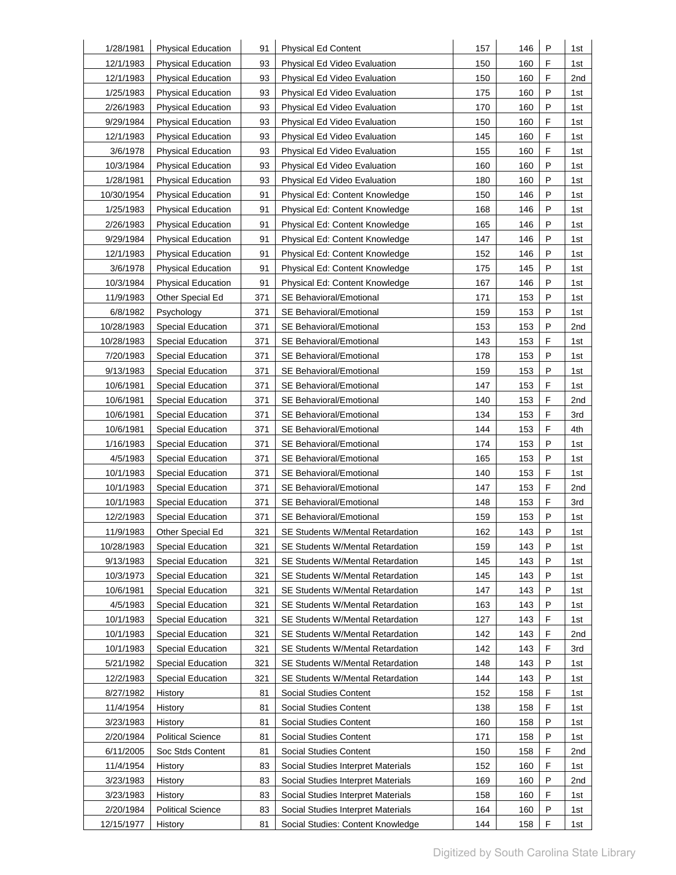| 1/28/1981  | <b>Physical Education</b> | 91  | <b>Physical Ed Content</b>              | 157 | 146 | P            | 1st |
|------------|---------------------------|-----|-----------------------------------------|-----|-----|--------------|-----|
| 12/1/1983  | <b>Physical Education</b> | 93  | Physical Ed Video Evaluation            | 150 | 160 | F            | 1st |
| 12/1/1983  | <b>Physical Education</b> | 93  | Physical Ed Video Evaluation            | 150 | 160 | F            | 2nd |
| 1/25/1983  | <b>Physical Education</b> | 93  | Physical Ed Video Evaluation            | 175 | 160 | $\mathsf{P}$ | 1st |
| 2/26/1983  | <b>Physical Education</b> | 93  | <b>Physical Ed Video Evaluation</b>     | 170 | 160 | P            | 1st |
| 9/29/1984  | <b>Physical Education</b> | 93  | Physical Ed Video Evaluation            | 150 | 160 | F            | 1st |
| 12/1/1983  | <b>Physical Education</b> | 93  | Physical Ed Video Evaluation            | 145 | 160 | F            | 1st |
| 3/6/1978   | <b>Physical Education</b> | 93  | Physical Ed Video Evaluation            | 155 | 160 | F            | 1st |
| 10/3/1984  | <b>Physical Education</b> | 93  | Physical Ed Video Evaluation            | 160 | 160 | $\mathsf{P}$ | 1st |
| 1/28/1981  | <b>Physical Education</b> | 93  | Physical Ed Video Evaluation            | 180 | 160 | P            | 1st |
| 10/30/1954 | <b>Physical Education</b> | 91  | Physical Ed: Content Knowledge          | 150 | 146 | P            | 1st |
| 1/25/1983  | <b>Physical Education</b> | 91  | Physical Ed: Content Knowledge          | 168 | 146 | P            | 1st |
| 2/26/1983  | <b>Physical Education</b> | 91  | Physical Ed: Content Knowledge          | 165 | 146 | P            | 1st |
| 9/29/1984  | <b>Physical Education</b> | 91  | Physical Ed: Content Knowledge          | 147 | 146 | P            | 1st |
| 12/1/1983  | <b>Physical Education</b> | 91  | Physical Ed: Content Knowledge          | 152 | 146 | P            | 1st |
| 3/6/1978   | <b>Physical Education</b> | 91  | Physical Ed: Content Knowledge          | 175 | 145 | P            | 1st |
| 10/3/1984  | <b>Physical Education</b> | 91  | Physical Ed: Content Knowledge          | 167 | 146 | P            | 1st |
| 11/9/1983  | Other Special Ed          | 371 | SE Behavioral/Emotional                 | 171 | 153 | P            | 1st |
| 6/8/1982   | Psychology                | 371 | <b>SE Behavioral/Emotional</b>          | 159 | 153 | P            | 1st |
| 10/28/1983 | <b>Special Education</b>  | 371 | SE Behavioral/Emotional                 | 153 | 153 | P            | 2nd |
| 10/28/1983 | <b>Special Education</b>  | 371 | SE Behavioral/Emotional                 | 143 | 153 | F            | 1st |
| 7/20/1983  | <b>Special Education</b>  | 371 | SE Behavioral/Emotional                 | 178 | 153 | P            | 1st |
| 9/13/1983  | <b>Special Education</b>  | 371 | <b>SE Behavioral/Emotional</b>          | 159 | 153 | P            | 1st |
| 10/6/1981  | Special Education         | 371 | <b>SE Behavioral/Emotional</b>          | 147 | 153 | F            | 1st |
| 10/6/1981  | <b>Special Education</b>  | 371 | SE Behavioral/Emotional                 | 140 | 153 | F            | 2nd |
| 10/6/1981  | <b>Special Education</b>  | 371 | <b>SE Behavioral/Emotional</b>          | 134 | 153 | F            | 3rd |
| 10/6/1981  | <b>Special Education</b>  | 371 | SE Behavioral/Emotional                 | 144 | 153 | F            | 4th |
| 1/16/1983  | Special Education         | 371 | <b>SE Behavioral/Emotional</b>          | 174 | 153 | P            | 1st |
| 4/5/1983   | <b>Special Education</b>  | 371 | <b>SE Behavioral/Emotional</b>          | 165 | 153 | P            | 1st |
| 10/1/1983  | <b>Special Education</b>  | 371 | <b>SE Behavioral/Emotional</b>          | 140 | 153 | F            | 1st |
| 10/1/1983  | <b>Special Education</b>  | 371 | SE Behavioral/Emotional                 | 147 | 153 | F            | 2nd |
| 10/1/1983  | <b>Special Education</b>  | 371 | SE Behavioral/Emotional                 | 148 | 153 | F            | 3rd |
| 12/2/1983  | <b>Special Education</b>  | 371 | SE Behavioral/Emotional                 | 159 | 153 | P            | 1st |
| 11/9/1983  | Other Special Ed          | 321 | <b>SE Students W/Mental Retardation</b> | 162 | 143 | P            | 1st |
| 10/28/1983 | Special Education         | 321 | <b>SE Students W/Mental Retardation</b> | 159 | 143 | P            | 1st |
| 9/13/1983  | <b>Special Education</b>  | 321 | SE Students W/Mental Retardation        | 145 | 143 | P            | 1st |
| 10/3/1973  | Special Education         | 321 | SE Students W/Mental Retardation        | 145 | 143 | Ρ            | 1st |
| 10/6/1981  | <b>Special Education</b>  | 321 | SE Students W/Mental Retardation        | 147 | 143 | P            | 1st |
| 4/5/1983   | <b>Special Education</b>  | 321 | SE Students W/Mental Retardation        | 163 | 143 | Ρ            | 1st |
| 10/1/1983  | Special Education         | 321 | SE Students W/Mental Retardation        | 127 | 143 | F            | 1st |
| 10/1/1983  | Special Education         | 321 | SE Students W/Mental Retardation        | 142 | 143 | F            | 2nd |
| 10/1/1983  | <b>Special Education</b>  | 321 | SE Students W/Mental Retardation        | 142 | 143 | F            | 3rd |
| 5/21/1982  | <b>Special Education</b>  | 321 | <b>SE Students W/Mental Retardation</b> | 148 | 143 | P            | 1st |
| 12/2/1983  | <b>Special Education</b>  | 321 | SE Students W/Mental Retardation        | 144 | 143 | Ρ            | 1st |
| 8/27/1982  | History                   | 81  | Social Studies Content                  | 152 | 158 | F            | 1st |
| 11/4/1954  | History                   | 81  | Social Studies Content                  | 138 | 158 | F            | 1st |
| 3/23/1983  | History                   | 81  | Social Studies Content                  | 160 | 158 | P            | 1st |
| 2/20/1984  | <b>Political Science</b>  | 81  | Social Studies Content                  | 171 | 158 | P            | 1st |
| 6/11/2005  | Soc Stds Content          | 81  | Social Studies Content                  | 150 | 158 | F            | 2nd |
| 11/4/1954  | History                   | 83  | Social Studies Interpret Materials      | 152 | 160 | F            | 1st |
| 3/23/1983  | History                   | 83  | Social Studies Interpret Materials      | 169 | 160 | P            | 2nd |
| 3/23/1983  | History                   | 83  | Social Studies Interpret Materials      | 158 | 160 | F            | 1st |
| 2/20/1984  | <b>Political Science</b>  | 83  | Social Studies Interpret Materials      | 164 | 160 | P            | 1st |
| 12/15/1977 | History                   | 81  | Social Studies: Content Knowledge       | 144 | 158 | F            | 1st |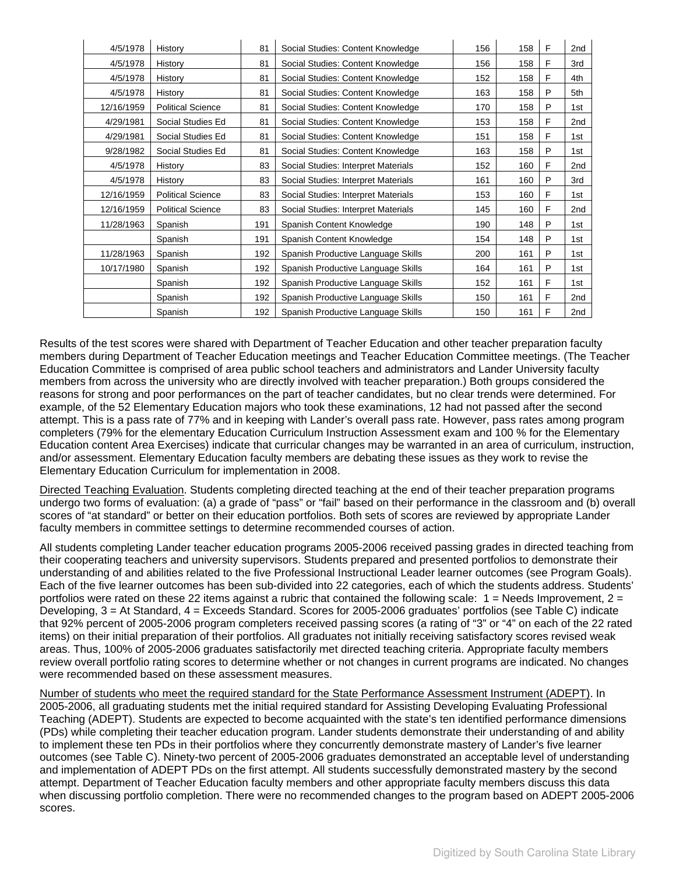| 4/5/1978   | History                  | 81  | Social Studies: Content Knowledge   | 156 | 158 | F | 2nd             |
|------------|--------------------------|-----|-------------------------------------|-----|-----|---|-----------------|
| 4/5/1978   | History                  | 81  | Social Studies: Content Knowledge   | 156 | 158 | F | 3rd             |
| 4/5/1978   | History                  | 81  | Social Studies: Content Knowledge   | 152 | 158 | F | 4th             |
| 4/5/1978   | History                  | 81  | Social Studies: Content Knowledge   | 163 | 158 | P | 5th             |
| 12/16/1959 | <b>Political Science</b> | 81  | Social Studies: Content Knowledge   | 170 | 158 | P | 1st             |
| 4/29/1981  | Social Studies Ed        | 81  | Social Studies: Content Knowledge   | 153 | 158 | F | 2 <sub>nd</sub> |
| 4/29/1981  | Social Studies Ed        | 81  | Social Studies: Content Knowledge   | 151 | 158 | F | 1st             |
| 9/28/1982  | Social Studies Ed        | 81  | Social Studies: Content Knowledge   | 163 | 158 | P | 1st             |
| 4/5/1978   | History                  | 83  | Social Studies: Interpret Materials | 152 | 160 | F | 2nd             |
| 4/5/1978   | History                  | 83  | Social Studies: Interpret Materials | 161 | 160 | P | 3rd             |
| 12/16/1959 | <b>Political Science</b> | 83  | Social Studies: Interpret Materials | 153 | 160 | F | 1st             |
| 12/16/1959 | <b>Political Science</b> | 83  | Social Studies: Interpret Materials | 145 | 160 | F | 2nd             |
| 11/28/1963 | Spanish                  | 191 | Spanish Content Knowledge           | 190 | 148 | P | 1st             |
|            | Spanish                  | 191 | Spanish Content Knowledge           | 154 | 148 | P | 1st             |
| 11/28/1963 | Spanish                  | 192 | Spanish Productive Language Skills  | 200 | 161 | P | 1st             |
| 10/17/1980 | Spanish                  | 192 | Spanish Productive Language Skills  | 164 | 161 | P | 1st             |
|            | Spanish                  | 192 | Spanish Productive Language Skills  | 152 | 161 | F | 1st             |
|            | Spanish                  | 192 | Spanish Productive Language Skills  | 150 | 161 | F | 2nd             |
|            | Spanish                  | 192 | Spanish Productive Language Skills  | 150 | 161 | F | 2nd             |

Results of the test scores were shared with Department of Teacher Education and other teacher preparation faculty members during Department of Teacher Education meetings and Teacher Education Committee meetings. (The Teacher Education Committee is comprised of area public school teachers and administrators and Lander University faculty members from across the university who are directly involved with teacher preparation.) Both groups considered the reasons for strong and poor performances on the part of teacher candidates, but no clear trends were determined. For example, of the 52 Elementary Education majors who took these examinations, 12 had not passed after the second attempt. This is a pass rate of 77% and in keeping with Lander's overall pass rate. However, pass rates among program completers (79% for the elementary Education Curriculum Instruction Assessment exam and 100 % for the Elementary Education content Area Exercises) indicate that curricular changes may be warranted in an area of curriculum, instruction, and/or assessment. Elementary Education faculty members are debating these issues as they work to revise the Elementary Education Curriculum for implementation in 2008.

Directed Teaching Evaluation. Students completing directed teaching at the end of their teacher preparation programs undergo two forms of evaluation: (a) a grade of "pass" or "fail" based on their performance in the classroom and (b) overall scores of "at standard" or better on their education portfolios. Both sets of scores are reviewed by appropriate Lander faculty members in committee settings to determine recommended courses of action.

All students completing Lander teacher education programs 2005-2006 received passing grades in directed teaching from their cooperating teachers and university supervisors. Students prepared and presented portfolios to demonstrate their understanding of and abilities related to the five Professional Instructional Leader learner outcomes (see Program Goals). Each of the five learner outcomes has been sub-divided into 22 categories, each of which the students address. Students' portfolios were rated on these 22 items against a rubric that contained the following scale:  $1 =$  Needs Improvement,  $2 =$ Developing, 3 = At Standard, 4 = Exceeds Standard. Scores for 2005-2006 graduates' portfolios (see Table C) indicate that 92% percent of 2005-2006 program completers received passing scores (a rating of "3" or "4" on each of the 22 rated items) on their initial preparation of their portfolios. All graduates not initially receiving satisfactory scores revised weak areas. Thus, 100% of 2005-2006 graduates satisfactorily met directed teaching criteria. Appropriate faculty members review overall portfolio rating scores to determine whether or not changes in current programs are indicated. No changes were recommended based on these assessment measures.

Number of students who meet the required standard for the State Performance Assessment Instrument (ADEPT). In 2005-2006, all graduating students met the initial required standard for Assisting Developing Evaluating Professional Teaching (ADEPT). Students are expected to become acquainted with the state's ten identified performance dimensions (PDs) while completing their teacher education program. Lander students demonstrate their understanding of and ability to implement these ten PDs in their portfolios where they concurrently demonstrate mastery of Lander's five learner outcomes (see Table C). Ninety-two percent of 2005-2006 graduates demonstrated an acceptable level of understanding and implementation of ADEPT PDs on the first attempt. All students successfully demonstrated mastery by the second attempt. Department of Teacher Education faculty members and other appropriate faculty members discuss this data when discussing portfolio completion. There were no recommended changes to the program based on ADEPT 2005-2006 scores.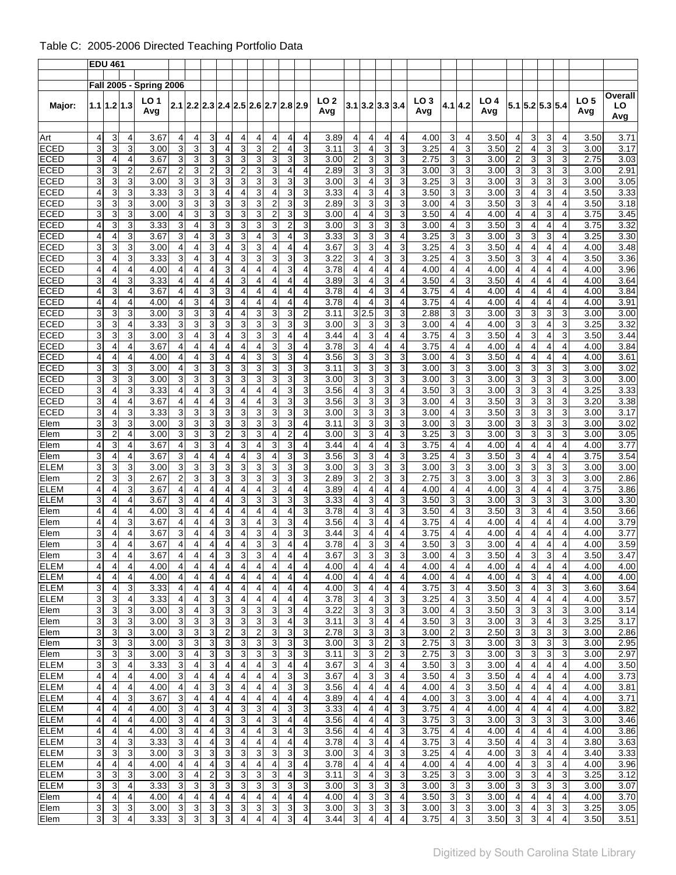# Table C: 2005-2006 Directed Teaching Portfolio Data

|                            |                | <b>EDU 461</b>      |                |                                               |                                  |                                  |                                           |                                        |                              |                              |                                           |                              |                         |              |                              |                                  |                     |                         |              |                                  |                     |              |                                  |                                  |        |                              |              |                      |
|----------------------------|----------------|---------------------|----------------|-----------------------------------------------|----------------------------------|----------------------------------|-------------------------------------------|----------------------------------------|------------------------------|------------------------------|-------------------------------------------|------------------------------|-------------------------|--------------|------------------------------|----------------------------------|---------------------|-------------------------|--------------|----------------------------------|---------------------|--------------|----------------------------------|----------------------------------|--------|------------------------------|--------------|----------------------|
|                            |                |                     |                |                                               |                                  |                                  |                                           |                                        |                              |                              |                                           |                              |                         |              |                              |                                  |                     |                         |              |                                  |                     |              |                                  |                                  |        |                              |              |                      |
| Major:                     |                | $1.1$   1.2   1.3   |                | <b>Fall 2005 - Spring 2006</b><br>LO 1<br>Avg |                                  |                                  |                                           | $2.1$  2.2 2.3 2.4 2.5 2.6 2.7 2.8 2.9 |                              |                              |                                           |                              |                         | LO 2<br>Avg  |                              | $3.1$ 3.2 3.3 3.4                |                     |                         | LO 3<br>Avg  | 4.1 4.2                          |                     | LO 4<br>Avg  |                                  | $5.1$ 5.2 5.3 5.4                |        |                              | LO 5<br>Avg  | Overall<br>LO<br>Avg |
| Art                        | 4              | 3                   | 4              | 3.67                                          | 4                                | 4                                | 3                                         | 4                                      | 4                            | 4                            | 4                                         | 4                            | 4                       | 3.89         | 4                            | 4                                | 4                   | 4                       | 4.00         | 3                                | 4                   | 3.50         | $\overline{4}$                   | 3                                | 3      | 4                            | 3.50         | 3.71                 |
| <b>ECED</b>                | 3              | 3                   | 3              | 3.00                                          | 3                                | 3                                | 3                                         | $\overline{4}$                         | 3                            | 3                            | $\overline{2}$                            | 4                            | 3                       | 3.11         | 3                            | 4                                | 3                   | 3                       | 3.25         | 4                                | 3                   | 3.50         | $\overline{c}$                   | $\overline{4}$                   | 3      | 3                            | 3.00         | 3.17                 |
| <b>ECED</b>                | 3              | 4                   | 4              | 3.67                                          | 3                                | 3                                | 3                                         | 3                                      | 3                            | 3                            | 3                                         | 3                            | 3                       | 3.00         | $\overline{2}$               | 3                                | 3                   | 3                       | 2.75         | 3                                | 3                   | 3.00         | $\overline{2}$                   | 3                                | 3      | 3                            | 2.75         | 3.03                 |
| <b>ECED</b>                | 3              | 3                   | $\overline{2}$ | 2.67                                          | $\overline{2}$                   | 3                                | $\overline{2}$                            | 3                                      | $\overline{2}$               | 3                            | 3                                         | 4                            | 4                       | 2.89         | 3                            | 3                                | 3                   | 3                       | 3.00         | 3                                | 3                   | 3.00         | 3                                | 3                                | 3      | 3                            | 3.00         | 2.91                 |
| <b>ECED</b>                | 3              | 3                   | 3              | 3.00                                          | 3                                | 3                                | 3                                         | 3                                      | 3                            | 3                            | 3                                         | 3                            | 3                       | 3.00         | 3                            | 4                                | 3                   | 3                       | 3.25         | 3                                | 3                   | 3.00         | 3                                | 3                                | 3      | 3                            | 3.00         | 3.05                 |
| <b>ECED</b>                | 4              | 3                   | 3              | 3.33                                          | 3                                | 3                                | 3                                         | 4                                      | 4                            | 3                            | 4                                         | 3                            | 3                       | 3.33         | $\overline{4}$               | 3                                | 4                   | 3                       | 3.50         | 3                                | 3                   | 3.00         | 3                                | 4                                | 3      | 4                            | 3.50         | 3.33                 |
| <b>ECED</b>                | 3              | 3                   | 3              | 3.00                                          | 3                                | 3                                | 3                                         | 3                                      | 3                            | 3                            | $\overline{2}$                            | 3                            | 3                       | 2.89         | 3                            | 3                                | 3                   | 3                       | 3.00         | 4                                | 3                   | 3.50         | 3                                | 3                                | 4      | $\overline{4}$               | 3.50         | 3.18                 |
| <b>ECED</b><br><b>ECED</b> | 3<br>4         | 3<br>3              | 3<br>3         | 3.00<br>3.33                                  | 4<br>3                           | 3<br>4                           | 3<br>3                                    | 3<br>3                                 | 3<br>3                       | 3<br>3                       | $\overline{2}$<br>3                       | 3<br>$\overline{\mathbf{c}}$ | 3<br>3                  | 3.00<br>3.00 | $\overline{4}$<br>3          | 4<br>3                           | 3<br>3              | 3<br>3                  | 3.50<br>3.00 | 4<br>4                           | $\overline{4}$<br>3 | 4.00<br>3.50 | 4<br>3                           | $\overline{4}$<br>4              | 3<br>4 | 4<br>4                       | 3.75<br>3.75 | 3.45<br>3.32         |
| <b>ECED</b>                | 4              | 4                   | 3              | 3.67                                          | 3                                | $\overline{4}$                   | 3                                         | 3                                      | 3                            | 4                            | 3                                         | 4                            | 3                       | 3.33         | 3                            | 3                                | 3                   | 4                       | 3.25         | 3                                | 3                   | 3.00         | 3                                | 3                                | 3      | $\overline{4}$               | 3.25         | 3.30                 |
| <b>ECED</b>                | 3              | 3                   | 3              | 3.00                                          | 4                                | $\overline{4}$                   | 3                                         | $\overline{4}$                         | 3                            | 3                            | 4                                         | 4                            | 4                       | 3.67         | 3                            | 3                                | 4                   | 3                       | 3.25         | 4                                | 3                   | 3.50         | 4                                | 4                                | 4      | 4                            | 4.00         | 3.48                 |
| <b>ECED</b>                | 3              | 4                   | 3              | 3.33                                          | 3                                | 4                                | 3                                         | 4                                      | 3                            | 3                            | 3                                         | 3                            | 3                       | 3.22         | 3                            | 4                                | 3                   | 3                       | 3.25         | 4                                | 3                   | 3.50         | 3                                | 3                                | 4      | 4                            | 3.50         | 3.36                 |
| <b>ECED</b>                | 4              | 4                   | $\overline{4}$ | 4.00                                          | 4                                | $\overline{4}$                   | $\overline{4}$                            | 3                                      | 4                            | 4                            | 4                                         | 3                            | 4                       | 3.78         | $\overline{4}$               | 4                                | 4                   | 4                       | 4.00         | 4                                | $\overline{4}$      | 4.00         | 4                                | $\overline{4}$                   | 4      | 4                            | 4.00         | 3.96                 |
| <b>ECED</b>                | 3              | 4                   | 3              | 3.33                                          | 4                                | 4                                | 4                                         | 4                                      | 3                            | 4                            | 4                                         | 4                            | 4                       | 3.89         | 3                            | 4                                | 3                   | 4                       | 3.50         | 4                                | 3                   | 3.50         | 4                                | 4                                | 4      | 4                            | 4.00         | 3.64                 |
| <b>ECED</b>                | 4              | 3                   | 4              | 3.67                                          | 4                                | 4                                | 3                                         | 3                                      | 4                            | 4                            | 4                                         | 4                            | 4                       | 3.78         | $\overline{4}$               | 4                                | 3                   | 4                       | 3.75         | 4                                | $\overline{4}$      | 4.00         | $\overline{4}$                   | $\overline{4}$                   | 4      | $\overline{4}$               | 4.00         | 3.84                 |
| <b>ECED</b>                | 4              | 4                   | 4              | 4.00                                          | 4                                | 3                                | 4                                         | 3                                      | 4                            | 4                            | 4                                         | 4                            | 4                       | 3.78         | 4                            | 4                                | 3                   | 4                       | 3.75         | 4                                | 4                   | 4.00         | 4                                | $\overline{4}$                   | 4      | $\overline{4}$               | 4.00         | 3.91                 |
| <b>ECED</b>                | 3              | 3                   | 3              | 3.00                                          | 3                                | 3                                | 3                                         | 4                                      | 4                            | 3                            | 3                                         | 3                            | 2                       | 3.11         | 3                            | 2.5                              | 3                   | 3                       | 2.88         | 3                                | 3                   | 3.00         | 3                                | 3                                | 3      | 3                            | 3.00         | 3.00                 |
| <b>ECED</b><br><b>ECED</b> | 3<br>3         | 3<br>3              | 4<br>3         | 3.33<br>3.00                                  | 3<br>3                           | 3<br>4                           | 3<br>3                                    | 3<br>$\overline{4}$                    | 3<br>3                       | 3<br>3                       | 3<br>3                                    | 3<br>4                       | 3<br>4                  | 3.00<br>3.44 | 3<br>4                       | 3<br>3                           | 3<br>4              | 3<br>4                  | 3.00<br>3.75 | 4<br>4                           | $\overline{4}$<br>3 | 4.00<br>3.50 | 3<br>4                           | 3<br>3                           | 4<br>4 | 3<br>3                       | 3.25<br>3.50 | 3.32<br>3.44         |
| <b>ECED</b>                | 3              | 4                   | 4              | 3.67                                          | 4                                | 4                                | 4                                         | 4                                      | 4                            | 4                            | 3                                         | 3                            | 4                       | 3.78         | 3                            | 4                                | 4                   | 4                       | 3.75         | 4                                | 4                   | 4.00         | $\overline{4}$                   | 4                                | 4      | 4                            | 4.00         | 3.84                 |
| <b>ECED</b>                | 4              | 4                   | 4              | 4.00                                          | 4                                | 4                                | 3                                         | 4                                      | 4                            | 3                            | 3                                         | 3                            | 4                       | 3.56         | 3                            | 3                                | 3                   | 3                       | 3.00         | 4                                | 3                   | 3.50         | $\overline{4}$                   | 4                                | 4      | 4                            | 4.00         | 3.61                 |
| <b>ECED</b>                | 3              | 3                   | 3              | 3.00                                          | 4                                | 3                                | 3                                         | 3                                      | 3                            | 3                            | 3                                         | 3                            | 3                       | 3.11         | 3                            | 3                                | 3                   | 3                       | 3.00         | 3                                | 3                   | 3.00         | 3                                | 3                                | 3      | 3                            | 3.00         | 3.02                 |
| <b>ECED</b>                | 3              | 3                   | 3              | 3.00                                          | 3                                | 3                                | 3                                         | 3                                      | 3                            | 3                            | 3                                         | 3                            | 3                       | 3.00         | 3                            | 3                                | 3                   | 3                       | 3.00         | 3                                | 3                   | 3.00         | 3                                | 3                                | 3      | 3                            | 3.00         | 3.00                 |
| <b>ECED</b>                | 3              | 4                   | 3              | 3.33                                          | 4                                | $\overline{4}$                   | 3                                         | 3                                      | 4                            | 4                            | $\overline{4}$                            | 3                            | 3                       | 3.56         | $\overline{4}$               | 3                                | 3                   | 4                       | 3.50         | 3                                | 3                   | 3.00         | 3                                | 3                                | 3      | 4                            | 3.25         | 3.33                 |
| <b>ECED</b>                | 3              | 4                   | 4              | 3.67                                          | 4                                | $\overline{4}$                   | 4                                         | 3                                      | 4                            | 4                            | 3                                         | 3                            | 3                       | 3.56         | 3                            | 3                                | 3                   | 3                       | 3.00         | $\overline{4}$                   | 3                   | 3.50         | 3                                | 3                                | 3      | 3                            | 3.20         | 3.38                 |
| ECED                       | 3              | 4                   | 3              | 3.33                                          | 3                                | 3                                | 3                                         | 3                                      | 3                            | 3                            | 3                                         | 3                            | 3                       | 3.00         | 3                            | 3                                | 3                   | 3                       | 3.00         | 4                                | 3                   | 3.50         | 3                                | 3                                | 3      | 3                            | 3.00         | 3.17                 |
| Elem                       | 3              | 3                   | 3              | 3.00                                          | 3                                | 3                                | 3                                         | 3                                      | 3                            | 3                            | 3                                         | 3                            | 4                       | 3.11         | 3                            | 3                                | 3                   | 3                       | 3.00         | 3                                | 3                   | 3.00         | 3                                | 3                                | 3      | 3                            | 3.00         | 3.02                 |
| Elem                       | 3              | $\overline{2}$      | 4              | 3.00                                          | 3                                | 3                                | 3                                         | $\overline{2}$                         | 3                            | 3                            | 4                                         | $\overline{2}$               | 4                       | 3.00         | 3                            | 3                                | 4                   | 3                       | 3.25         | 3                                | 3                   | 3.00         | 3                                | 3                                | 3      | 3                            | 3.00         | 3.05                 |
| Elem<br>Elem               | 4<br>3         | 3<br>$\overline{4}$ | 4<br>4         | 3.67<br>3.67                                  | 4<br>3                           | 3<br>$\overline{4}$              | 3<br>$\overline{4}$                       | 4<br>$\overline{4}$                    | 3<br>$\overline{4}$          | 4<br>3                       | 3<br>$\overline{4}$                       | 3<br>3                       | 4<br>3                  | 3.44<br>3.56 | 4<br>3                       | 4<br>3                           | 4<br>4              | 3<br>3                  | 3.75<br>3.25 | 4<br>$\overline{4}$              | 4<br>3              | 4.00<br>3.50 | 4<br>3                           | 4<br>4                           | 4<br>4 | 4<br>$\overline{4}$          | 4.00<br>3.75 | 3.77<br>3.54         |
| <b>ELEM</b>                | 3              | 3                   | 3              | 3.00                                          | 3                                | 3                                | 3                                         | 3                                      | 3                            | 3                            | 3                                         | 3                            | 3                       | 3.00         | 3                            | 3                                | 3                   | 3                       | 3.00         | 3                                | 3                   | 3.00         | 3                                | 3                                | 3      | 3                            | 3.00         | 3.00                 |
| Elem                       | $\overline{c}$ | 3                   | 3              | 2.67                                          | $\overline{2}$                   | 3                                | 3                                         | 3                                      | 3                            | 3                            | 3                                         | 3                            | 3                       | 2.89         | 3                            | $\overline{c}$                   | 3                   | 3                       | 2.75         | 3                                | 3                   | 3.00         | 3                                | 3                                | 3      | 3                            | 3.00         | 2.86                 |
| ELEM                       | 4              | 4                   | 3              | 3.67                                          | 4                                | $\overline{4}$                   | $\overline{4}$                            | 4                                      | 4                            | 4                            | 3                                         | 4                            | 4                       | 3.89         | 4                            | 4                                | 4                   | 4                       | 4.00         | 4                                | $\overline{4}$      | 4.00         | 3                                | $\overline{4}$                   | 4      | $\overline{4}$               | 3.75         | 3.86                 |
| <b>ELEM</b>                | 3              | 4                   | 4              | 3.67                                          | 3                                | $\overline{4}$                   | 4                                         | $\overline{4}$                         | 3                            | 3                            | 3                                         | 3                            | 3                       | 3.33         | 4                            | 3                                | 4                   | 3                       | 3.50         | 3                                | 3                   | 3.00         | 3                                | 3                                | 3      | 3                            | 3.00         | 3.30                 |
| Elem                       | 4              | 4                   | 4              | 4.00                                          | 3                                | 4                                | 4                                         | 4                                      | 4                            | 4                            | 4                                         | 4                            | 3                       | 3.78         | 4                            | 3                                | 4                   | 3                       | 3.50         | 4                                | 3                   | 3.50         | 3                                | 3                                | 4      | 4                            | 3.50         | 3.66                 |
| Elem                       | 4              | 4                   | 3              | 3.67                                          | 4                                | $\overline{4}$                   | $\overline{4}$                            | 3                                      | 3                            | 4                            | 3                                         | 3                            | 4                       | 3.56         | 4                            | 3                                | 4                   | 4                       | 3.75         | $\overline{4}$                   | $\overline{4}$      | 4.00         | $\overline{4}$                   | $\overline{4}$                   | 4      | 4                            | 4.00         | 3.79                 |
| Elem                       | 3              | 4                   | 4              | 3.67                                          | 3                                | $\overline{4}$                   | 4                                         | 3                                      | 4                            | 3                            | $\overline{4}$                            | 3                            | 3                       | 3.44         | 3                            | 4                                | 4                   | 4                       | 3.75         | 4                                | $\overline{4}$      | 4.00         | $\overline{4}$                   | $\overline{4}$                   | 4      | 4                            | 4.00         | 3.77                 |
| Elem                       | 3              | 4                   | 4              | 3.67                                          | 4                                | 4                                | 4                                         | 4                                      | 4                            | 3                            | 3                                         | 4                            | 4                       | 3.78         | 4                            | 3                                | 3                   | 4                       | 3.50         | 3                                | 3                   | 3.00         | 4                                | 4                                | 4      | 4                            | 4.00         | 3.59                 |
| Elem<br><b>ELEM</b>        | 3<br>4         | 4<br>4              | 4<br>4         | 3.67<br>4.00                                  | $\overline{4}$<br>$\overline{4}$ | $\overline{4}$<br>$\overline{4}$ | $\overline{\mathbf{4}}$<br>$\overline{4}$ | $\overline{3}$<br>4                    | 3<br>4                       | ω<br>4                       | $\overline{\mathbf{4}}$<br>$\overline{4}$ | 4                            | 4                       | 3.67<br>4.00 | $\overline{3}$<br>4          | $\overline{3}$<br>$\overline{4}$ | $\overline{3}$<br>4 | 3<br>4                  | 3.00<br>4.00 | $\overline{4}$<br>$\overline{4}$ | $\overline{3}$<br>4 | 3.50<br>4.00 | $\overline{4}$<br>$\overline{4}$ | $\overline{3}$<br>$\overline{4}$ | 3<br>4 | $\overline{\mathbf{4}}$<br>4 | 3.50<br>4.00 | 3.47<br>4.00         |
| <b>ELEM</b>                | 4              | 4                   | 4              | 4.00                                          | $\overline{4}$                   | 4                                | 4                                         | 4                                      | 4                            | 4                            | 4                                         | 4                            | 4                       | 4.00         | 4                            | 4                                | 4                   | 4                       | 4.00         | 4                                | 4                   | 4.00         | $\overline{a}$                   | 3                                | 4      | 4                            | 4.00         | 4.00                 |
| <b>ELEM</b>                | 3              | 4                   | 3              | 3.33                                          | $\overline{4}$                   | $\overline{4}$                   | 4                                         | 4                                      | 4                            | 4                            | $\overline{4}$                            | 4                            | 4                       | 4.00         | 3                            | $\overline{\mathbf{4}}$          | 4                   | 4                       | 3.75         | 3                                | 4                   | 3.50         | $\mathbf{3}$                     | 4                                | 3      | 3                            | 3.60         | 3.64                 |
| <b>ELEM</b>                | 3              | 3                   | 4              | 3.33                                          | $\overline{4}$                   | $\overline{4}$                   | 3                                         | 3                                      | $\overline{\mathbf{4}}$      | $\overline{\mathbf{4}}$      | 4                                         | 4                            | 4                       | 3.78         | 3                            | 4                                | 3                   | 3                       | 3.25         | 4                                | 3                   | 3.50         | 4                                | 4                                | 4      | 4                            | 4.00         | 3.57                 |
| Elem                       | 3              | 3                   | 3              | 3.00                                          | $\mathbf{3}$                     | 4                                | 3                                         | 3                                      | 3                            | 3                            | 3                                         | 3                            | 4                       | 3.22         | $\sqrt{3}$                   | 3                                | 3                   | 3                       | 3.00         | 4                                | 3                   | 3.50         | $\mathbf{3}$                     | 3                                | 3      | 3                            | 3.00         | 3.14                 |
| Elem                       | 3              | 3                   | 3              | 3.00                                          | 3                                | 3                                | 3                                         | 3                                      | 3                            | 3                            | 3                                         | 4                            | 3                       | 3.11         | 3                            | $\ensuremath{\mathsf{3}}$        | 4                   | 4                       | 3.50         | 3                                | 3                   | 3.00         | 3                                | 3                                | 4      | 3                            | 3.25         | 3.17                 |
| Elem                       | 3              | 3                   | 3              | 3.00                                          | دى                               | 3                                | 3                                         | $\overline{\mathbf{c}}$                | 3                            | $\overline{\mathbf{c}}$      | 3                                         | 3                            | 3                       | 2.78         | $\sqrt{3}$                   | 3                                | 3                   | 3                       | 3.00         | $\overline{\mathbf{c}}$          | 3                   | 2.50         | دى                               | 3                                | 3      | 3                            | 3.00         | 2.86                 |
| Elem                       | 3              | 3                   | 3              | 3.00                                          | دى                               | 3                                | $\sqrt{3}$                                | 3                                      | $\ensuremath{\mathsf{3}}$    | $\overline{3}$               | $\overline{3}$                            | 3                            | 3                       | 3.00         | $\overline{3}$               | $\mathsf 3$                      | $\boldsymbol{2}$    | 3                       | 2.75         | 3                                | 3                   | 3.00         | $\overline{\mathbf{3}}$          | $\mathbf{3}$                     | 3      | 3                            | 3.00         | 2.95                 |
| Elem                       | 3              | 3                   | 3              | 3.00                                          | 3                                | 4                                | 3                                         | 3                                      | 3                            | 3                            | 3                                         | 3                            | 3                       | 3.11         | $\overline{3}$               | 3                                | $\mathbf 2$         | 3                       | 2.75         | 3                                | 3                   | 3.00         | 3                                | 3                                | 3      | 3                            | 3.00         | 2.97                 |
| <b>ELEM</b><br><b>ELEM</b> | 3<br>4         | 3<br>4              | 4<br>4         | 3.33<br>4.00                                  | 3<br>$\mathbf{3}$                | 4<br>4                           | 3<br>4                                    | 4<br>4                                 | 4<br>$\overline{\mathbf{4}}$ | 4<br>$\overline{\mathbf{4}}$ | 3<br>$\overline{4}$                       | 4<br>3                       | 4<br>3                  | 3.67<br>3.67 | 3<br>$\overline{\mathbf{4}}$ | 4<br>$\mathsf 3$                 | 3<br>3              | 4<br>4                  | 3.50<br>3.50 | 3<br>$\overline{4}$              | 3<br>3              | 3.00<br>3.50 | 4<br>$\overline{4}$              | 4<br>4                           | 4<br>4 | 4<br>$\overline{4}$          | 4.00<br>4.00 | 3.50<br>3.73         |
| <b>ELEM</b>                | 4              | 4                   | 4              | 4.00                                          | $\overline{4}$                   | $\overline{4}$                   | 3                                         | 3                                      | 4                            | $\overline{\mathbf{4}}$      | 4                                         | $\overline{3}$               | 3                       | 3.56         | $\overline{4}$               | 4                                | 4                   | 4                       | 4.00         | 4                                | 3                   | 3.50         | $\overline{4}$                   | $\overline{4}$                   | 4      | 4                            | 4.00         | 3.81                 |
| <b>ELEM</b>                | 4              | 4                   | 3              | 3.67                                          | $\mathbf{3}$                     | 4                                | 4                                         | 4                                      | 4                            | 4                            | 4                                         | 4                            | 4                       | 3.89         | 4                            | 4                                | 4                   | $\overline{\mathbf{4}}$ | 4.00         | 3                                | 3                   | 3.00         | $\overline{4}$                   | 4                                | 4      | 4                            | 4.00         | 3.71                 |
| <b>ELEM</b>                | 4              | 4                   | 4              | 4.00                                          | $\mathbf{3}$                     | 4                                | 3                                         | 4                                      | 3                            | $\ensuremath{\mathsf{3}}$    | 4                                         | 3                            | 3                       | 3.33         | 4                            | 4                                | 4                   | 3                       | 3.75         | $\overline{4}$                   | 4                   | 4.00         | $\overline{a}$                   | 4                                | 4      | $\overline{4}$               | 4.00         | 3.82                 |
| <b>ELEM</b>                | 4              | 4                   | 4              | 4.00                                          | $\mathbf{3}$                     | 4                                | 4                                         | 3                                      | 3                            | 4                            | 3                                         | 4                            | $\overline{\mathbf{4}}$ | 3.56         | $\overline{4}$               | 4                                | 4                   | 3                       | 3.75         | 3                                | 3                   | 3.00         | 3                                | 3                                | 3      | 3                            | 3.00         | 3.46                 |
| <b>ELEM</b>                | 4              | 4                   | 4              | 4.00                                          | $\overline{3}$                   | 4                                | 4                                         | 3                                      | 4                            | 4                            | $\mathbf{3}$                              | 4                            | 3                       | 3.56         | 4                            | $\overline{\mathbf{4}}$          | 4                   | 3                       | 3.75         | $\overline{4}$                   | 4                   | 4.00         | $\overline{4}$                   | 4                                | 4      | $\overline{4}$               | 4.00         | 3.86                 |
| <b>ELEM</b>                | 3              | 4                   | 3              | 3.33                                          | 3                                | 4                                | 4                                         | 3                                      | 4                            | $\overline{\mathbf{4}}$      | $\overline{4}$                            | 4                            | 4                       | 3.78         | 4                            | 3                                | 4                   | 4                       | 3.75         | 3                                | 4                   | 3.50         | $\overline{4}$                   | 4                                | 3      | $\overline{4}$               | 3.80         | 3.63                 |
| <b>ELEM</b>                | 3              | 3                   | 3              | 3.00                                          | 3                                | 3                                | 3                                         | 3                                      | 3                            | $\ensuremath{\mathsf{3}}$    | 3                                         | 3                            | 3                       | 3.00         | 3                            | 4                                | 3                   | 3                       | 3.25         | 4                                | 4                   | 4.00         | 3                                | 3                                | 4      | 4                            | 3.40         | 3.33                 |
| <b>ELEM</b>                | 4              | 4                   | 4              | 4.00                                          | $\overline{4}$                   | 4                                | 4                                         | 3                                      | $\overline{\mathbf{4}}$      | 4                            | 4                                         | 3                            | 4                       | 3.78         | $\overline{4}$               | 4                                | 4                   | 4                       | 4.00         | 4                                | 4                   | 4.00         | 4                                | $\mathsf 3$                      | 3      | 4                            | 4.00         | 3.96                 |
| <b>ELEM</b><br><b>ELEM</b> | 3              | 3                   | 3              | 3.00                                          | 3                                | 4                                | $\overline{2}$                            | 3<br>3                                 | 3<br>3                       | $\ensuremath{\mathsf{3}}$    | 3                                         | 4                            | 3<br>3                  | 3.11         | $\ensuremath{\mathsf{3}}$    | 4                                | 3                   | 3                       | 3.25         | 3                                | 3                   | 3.00         | 3<br>3                           | 3<br>3                           | 4<br>3 | 3<br>3                       | 3.25         | 3.12                 |
| Elem                       | 3<br>4         | 3<br>4              | 4<br>4         | 3.33<br>4.00                                  | 3<br>$\overline{4}$              | 3<br>$\overline{4}$              | 3<br>4                                    | 4                                      | 4                            | 3<br>4                       | 3<br>4                                    | 3<br>4                       | 4                       | 3.00<br>4.00 | 3<br>4                       | 3<br>3                           | 3<br>3              | 3<br>4                  | 3.00<br>3.50 | 3<br>3                           | 3<br>3              | 3.00<br>3.00 | 4                                | 4                                | 4      | 4                            | 3.00<br>4.00 | 3.07<br>3.70         |
| Elem                       | 3              | 3                   | 3              | 3.00                                          | 3                                | 3                                | 3                                         | 3                                      | 3                            | 3                            | 3                                         | 3                            | 3                       | 3.00         | 3                            | 3                                | 3                   | 3                       | 3.00         | 3                                | 3                   | 3.00         | $\mathbf{3}$                     | 4                                | 3      | 3                            | 3.25         | 3.05                 |
| Elem                       | 3              | 3                   | 4              | 3.33                                          | 3 <sup>1</sup>                   | 3                                | 3                                         | 3                                      | 4                            | 4                            | 4                                         | 3                            | 4                       | 3.44         | 3                            | 4                                | 4                   | 4                       | 3.75         | 4                                | 3                   | 3.50         | 3                                | 3                                | 4      | 4                            | 3.50         | 3.51                 |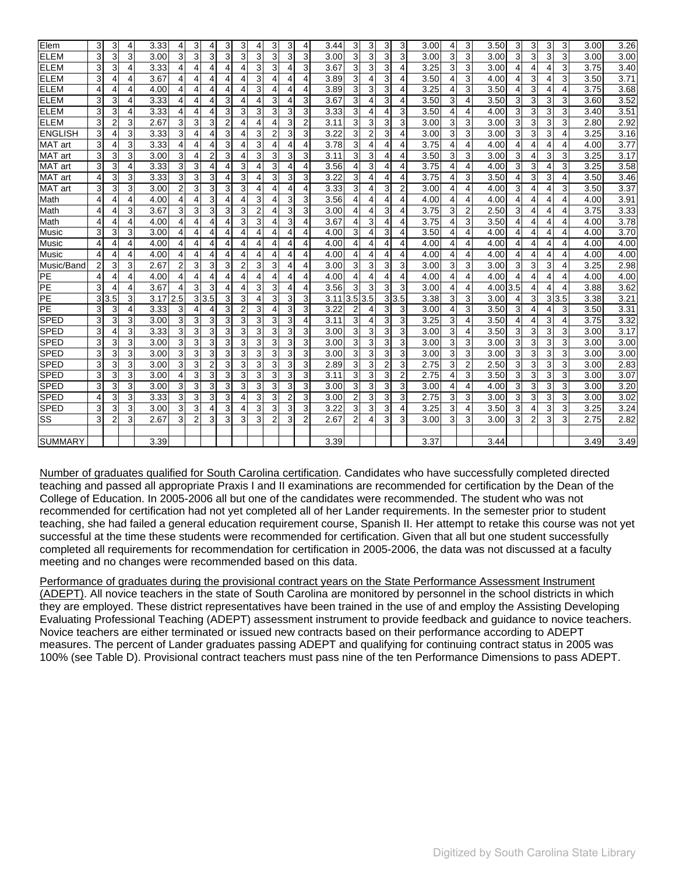| Elem           | 3              | 3              | 4 | 3.33 |                | 3              | 4              | 3              | 3              | 4              | 3              | 3              | 4              | 3.44 | 3              | 3   | 3              | 3              | 3.00 | 4 | 3              | 3.50     | 3              | 3              | 3 | 3   | 3.00 | 3.26 |
|----------------|----------------|----------------|---|------|----------------|----------------|----------------|----------------|----------------|----------------|----------------|----------------|----------------|------|----------------|-----|----------------|----------------|------|---|----------------|----------|----------------|----------------|---|-----|------|------|
| <b>ELEM</b>    | 3              | 3              | 3 | 3.00 | 3              | 3              | 3              | 3              | 3              | 3              | 3              | 3              | 3              | 3.00 | 3              | 3   | 3              | 3              | 3.00 | 3 | 3              | 3.00     | 3              | 3              | 3 | 3   | 3.00 | 3.00 |
| <b>ELEM</b>    | 3              | 3              | 4 | 3.33 | 4              | 4              | 4              | 4              | 4              | 3              | 3              | 4              | 3              | 3.67 | 3              | 3   | 3              | 4              | 3.25 | 3 | 3              | 3.00     | 4              | 4              | 4 | 3   | 3.75 | 3.40 |
| <b>ELEM</b>    | 3              | 4              | 4 | 3.67 | 4              | 4              | 4              | 4              | 4              | 3              | 4              | 4              | 4              | 3.89 | 3              | 4   | 3              | 4              | 3.50 | 4 | 3              | 4.00     | 4              | 3              | 4 | 3   | 3.50 | 3.71 |
| <b>ELEM</b>    | 4              | 4              | 4 | 4.00 | 4              | 4              | 4              | 4              | 4              | 3              | 4              | 4              | 4              | 3.89 | 3              | 3   | 3              | 4              | 3.25 | 4 | 3              | 3.50     | 4              | 3              | 4 | 4   | 3.75 | 3.68 |
| <b>ELEM</b>    | 3              | 3              | 4 | 3.33 | 4              | 4              | 4              | 3              | 4              | 4              | 3              | 4              | 3              | 3.67 | 3              | 4   | 3              | 4              | 3.50 | 3 | 4              | 3.50     | 3              | 3              | 3 | 3   | 3.60 | 3.52 |
| <b>ELEM</b>    | 3              | 3              | 4 | 3.33 | 4              | $\overline{4}$ | 4              | 3              | 3              | 3              | 3              | 3              | 3              | 3.33 | 3              | 4   | 4              | 3              | 3.50 | 4 | 4              | 4.00     | 3              | 3              | 3 | 3   | 3.40 | 3.51 |
| <b>ELEM</b>    | 3              | $\overline{c}$ | 3 | 2.67 | 3              | 3              | 3              | $\overline{2}$ | 4              | 4              | 4              | 3              | $\overline{2}$ | 3.11 | 3              | 3   | 3              | 3              | 3.00 | 3 | 3              | 3.00     | 3              | 3              | 3 | 3   | 2.80 | 2.92 |
| <b>ENGLISH</b> | 3              | 4              | 3 | 3.33 | 3              | $\overline{4}$ | 4              | 3              | 4              | 3              | 2              | 3              | 3              | 3.22 | 3              | 2   | 3              | 4              | 3.00 | 3 | 3              | 3.00     | 3              | 3              | 3 | 4   | 3.25 | 3.16 |
| <b>MAT</b> art | 3              | 4              | 3 | 3.33 | 4              | 4              | 4              | 3              | 4              | 3              | 4              | 4              | 4              | 3.78 | 3              | 4   | 4              | 4              | 3.75 | 4 | 4              | 4.00     | 4              | 4              | 4 | 4   | 4.00 | 3.77 |
| <b>MAT</b> art | 3              | 3              | 3 | 3.00 | 3              | 4              | $\overline{2}$ | 3              | 4              | 3              | 3              | 3              | 3              | 3.11 | 3              | 3   | 4              | 4              | 3.50 | 3 | 3              | 3.00     | 3              | 4              | 3 | 3   | 3.25 | 3.17 |
| <b>MAT</b> art | 3              | 3              | 4 | 3.33 | 3              | 3              | 4              | 4              | 3              | 4              | 3              | 4              | 4              | 3.56 | $\overline{4}$ | 3   | 4              | 4              | 3.75 | 4 | 4              | 4.00     | 3              | 3              | 4 | 3   | 3.25 | 3.58 |
| <b>MAT</b> art | $\overline{4}$ | 3              | 3 | 3.33 | 3              | 3              | 3              | 4              | 3              | 4              | 3              | 3              | 3              | 3.22 | 3              | 4   | 4              | 4              | 3.75 | 4 | 3              | 3.50     | 4              | 3              | 3 | 4   | 3.50 | 3.46 |
| <b>MAT</b> art | 3              | 3              | 3 | 3.00 | $\overline{2}$ | 3              | 3              | 3              | 3              | 4              | 4              | 4              | 4              | 3.33 | 3              | 4   | 3              | 2              | 3.00 | 4 | 4              | 4.00     | 3              | 4              | 4 | 3   | 3.50 | 3.37 |
| Math           | 4              | 4              | 4 | 4.00 | 4              | $\overline{4}$ | 3              | 4              | 4              | 3              | 4              | 3              | 3              | 3.56 | $\overline{4}$ | 4   | 4              | 4              | 4.00 | 4 | 4              | 4.00     | 4              | $\overline{4}$ | 4 | 4   | 4.00 | 3.91 |
| Math           | 4              | 4              | 3 | 3.67 | 3              | 3              | 3              | 3              | 3              | 2              | 4              | 3              | 3              | 3.00 | 4              | 4   | 3              | 4              | 3.75 | 3 | $\overline{2}$ | 2.50     | 3              | 4              | 4 | 4   | 3.75 | 3.33 |
| Math           | 4              | 4              | 4 | 4.00 | 4              | 4              | 4              | 4              | 3              | 3              | 4              | 3              | 4              | 3.67 | $\overline{4}$ | 3   | 4              | 4              | 3.75 | 4 | 3              | 3.50     | 4              | 4              | 4 | 4   | 4.00 | 3.78 |
| Music          | 3              | 3              | 3 | 3.00 | 4              | 4              | 4              | 4              | 4              | 4              | 4              | 4              | 4              | 4.00 | 3              | 4   | 3              | 4              | 3.50 | 4 | 4              | 4.00     | 4              | 4              | 4 | 4   | 4.00 | 3.70 |
| Music          | 4              | 4              | 4 | 4.00 | 4              | 4              | 4              | 4              | 4              | 4              | 4              | 4              | 4              | 4.00 | 4              | 4   | 4              | 4              | 4.00 | 4 | 4              | 4.00     | 4              | 4              | 4 | 4   | 4.00 | 4.00 |
| Music          | 4              | 4              | 4 | 4.00 | 4              | $\overline{4}$ | 4              | 4              | 4              | 4              | 4              | 4              | 4              | 4.00 | $\overline{4}$ | 4   | 4              | 4              | 4.00 | 4 | 4              | 4.00     | 4              | 4              | 4 | 4   | 4.00 | 4.00 |
| Music/Band     | 2              | 3              | 3 | 2.67 | 2              | 3              | 3              | 3              | $\overline{2}$ | 3              | 3              | 4              | 4              | 3.00 | 3              | 3   | 3              | 3              | 3.00 | 3 | 3              | 3.00     | 3              | 3              | 3 | 4   | 3.25 | 2.98 |
| PE             | 4              | 4              | 4 | 4.00 | 4              | $\overline{4}$ | $\overline{4}$ | 4              | $\overline{4}$ | $\overline{4}$ | 4              | 4              | 4              | 4.00 | $\overline{4}$ | 4   | 4              | 4              | 4.00 | 4 | 4              | 4.00     | 4              | $\overline{4}$ | 4 | 4   | 4.00 | 4.00 |
| PE             | 3              | 4              | 4 | 3.67 | 4              | 3              | 3              | 4              | 4              | 3              | 3              | 4              | 4              | 3.56 | 3              | 3   | 3              | 3              | 3.00 | 4 | 4              | 4.00 3.5 |                | 4              | 4 | 4   | 3.88 | 3.62 |
| PE             | 3              | 3.5            | 3 | 3.17 | 2.5            | 3              | 3.5            | 3              | 3              | 4              | 3              | 3              | 3              | 3.11 | 3.5            | 3.5 | 3              | 3.5            | 3.38 | 3 | 3              | 3.00     | 4              | 3              | 3 | 3.5 | 3.38 | 3.21 |
| PE             | 3              | 3              | 4 | 3.33 | 3              | $\overline{4}$ | 4              | 3              | $\overline{2}$ | 3              | 4              | 3              | 3              | 3.22 | $\overline{2}$ | 4   | 3              | 3              | 3.00 | 4 | 3              | 3.50     | 3              | 4              | 4 | 3   | 3.50 | 3.31 |
| <b>SPED</b>    | 3              | 3              | 3 | 3.00 | 3              | 3              | 3              | 3              | 3              | 3              | 3              | 3              | 4              | 3.11 | 3              | 4   | 3              | 3              | 3.25 | 3 | 4              | 3.50     | 4              | 4              | 3 | 4   | 3.75 | 3.32 |
| <b>SPED</b>    | 3              | 4              | 3 | 3.33 | 3              | 3              | 3              | 3              | 3              | 3              | 3              | 3              | 3              | 3.00 | 3              | 3   | 3              | 3              | 3.00 | 3 | 4              | 3.50     | 3 <sub>l</sub> | 3              | 3 | 3   | 3.00 | 3.17 |
| <b>SPED</b>    | 3              | 3              | 3 | 3.00 | 3              | 3              | 3              | 3              | 3              | 3              | 3              | 3              | 3              | 3.00 | 3              | 3   | 3              | 3              | 3.00 | 3 | 3              | 3.00     | 3              | 3              | 3 | 3   | 3.00 | 3.00 |
| <b>SPED</b>    | 3              | 3              | 3 | 3.00 | 3              | 3              | 3              | 3              | 3              | 3              | 3              | 3              | 3              | 3.00 | 3              | 3   | 3              | 3              | 3.00 | 3 | 3              | 3.00     | 3              | 3              | 3 | 3   | 3.00 | 3.00 |
| <b>SPED</b>    | 3              | 3              | 3 | 3.00 | 3              | 3              | $\overline{2}$ | 3              | 3              | 3              | 3              | 3              | 3              | 2.89 | 3              | 3   | $\overline{2}$ | 3              | 2.75 | 3 | $\overline{2}$ | 2.50     | 3              | 3              | 3 | 3   | 3.00 | 2.83 |
| <b>SPED</b>    | 3              | 3              | 3 | 3.00 | 4              | 3              | 3              | 3              | 3              | 3              | 3              | 3              | 3              | 3.11 | 3              | 3   | 3              | $\overline{2}$ | 2.75 | 4 | 3              | 3.50     | 3              | 3              | 3 | 3   | 3.00 | 3.07 |
| <b>SPED</b>    | 3              | 3              | 3 | 3.00 | 3              | 3              | 3              | 3              | 3              | 3              | 3              | 3              | 3              | 3.00 | 3              | 3   | 3              | 3              | 3.00 | 4 | $\overline{4}$ | 4.00     | 3              | 3              | 3 | 3   | 3.00 | 3.20 |
| <b>SPED</b>    | 4              | 3              | 3 | 3.33 | 3              | 3              | 3              | 3              | 4              | 3              | 3              | $\overline{2}$ | 3              | 3.00 | $\overline{2}$ | 3   | 3              | 3              | 2.75 | 3 | 3              | 3.00     | 3              | 3              | 3 | 3   | 3.00 | 3.02 |
| <b>SPED</b>    | 3              | 3              | 3 | 3.00 | 3              | 3              | 4              | 3              | 4              | 3              | 3              | 3              | 3              | 3.22 | 3              | 3   | 3              | 4              | 3.25 | 3 | $\overline{4}$ | 3.50     | 3              | 4              | 3 | 3   | 3.25 | 3.24 |
| SS             | 3              | $\overline{2}$ | 3 | 2.67 | 3              | $\overline{2}$ | 3              | 3              | 3              | 3              | $\overline{2}$ | 3              | $\overline{2}$ | 2.67 | $\overline{2}$ | 4   | 3              | 3              | 3.00 | 3 | 3              | 3.00     | 3              | $\overline{2}$ | 3 | 3   | 2.75 | 2.82 |
|                |                |                |   |      |                |                |                |                |                |                |                |                |                |      |                |     |                |                |      |   |                |          |                |                |   |     |      |      |
| <b>SUMMARY</b> |                |                |   | 3.39 |                |                |                |                |                |                |                |                |                | 3.39 |                |     |                |                | 3.37 |   |                | 3.44     |                |                |   |     | 3.49 | 3.49 |

Number of graduates qualified for South Carolina certification. Candidates who have successfully completed directed teaching and passed all appropriate Praxis I and II examinations are recommended for certification by the Dean of the College of Education. In 2005-2006 all but one of the candidates were recommended. The student who was not recommended for certification had not yet completed all of her Lander requirements. In the semester prior to student teaching, she had failed a general education requirement course, Spanish II. Her attempt to retake this course was not yet successful at the time these students were recommended for certification. Given that all but one student successfully completed all requirements for recommendation for certification in 2005-2006, the data was not discussed at a faculty meeting and no changes were recommended based on this data.

Performance of graduates during the provisional contract years on the State Performance Assessment Instrument (ADEPT). All novice teachers in the state of South Carolina are monitored by personnel in the school districts in which they are employed. These district representatives have been trained in the use of and employ the Assisting Developing Evaluating Professional Teaching (ADEPT) assessment instrument to provide feedback and guidance to novice teachers. Novice teachers are either terminated or issued new contracts based on their performance according to ADEPT measures. The percent of Lander graduates passing ADEPT and qualifying for continuing contract status in 2005 was 100% (see Table D). Provisional contract teachers must pass nine of the ten Performance Dimensions to pass ADEPT.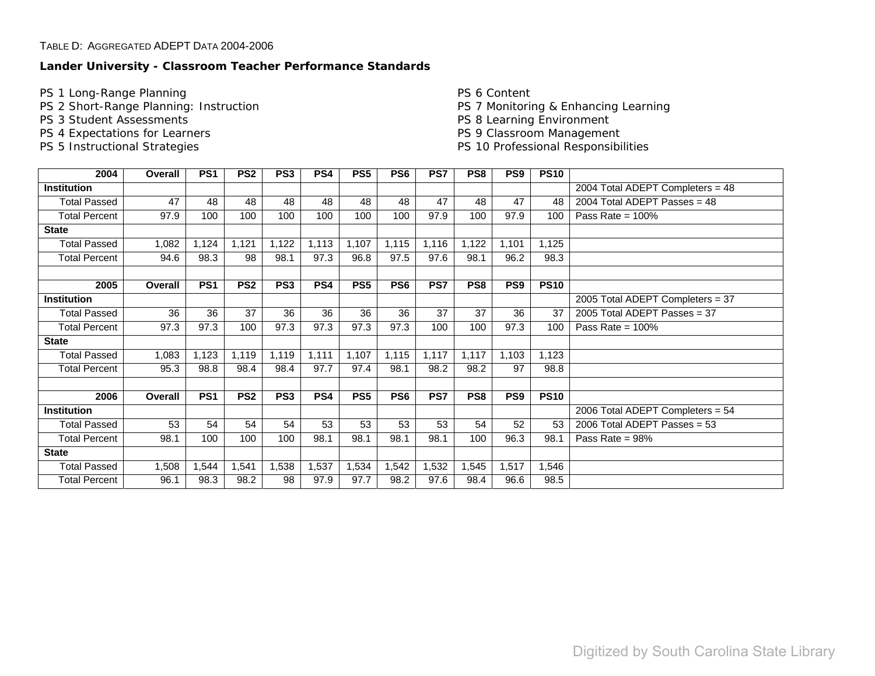# **Lander University - Classroom Teacher Performance Standards**

PS 1 Long-Range Planning

PS 2 Short-Range Planning: Instruction

- PS 3 Student Assessments
- PS 4 Expectations for Learners
- PS 5 Instructional Strategies

PS 6 Content PS 7 Monitoring & Enhancing Learning PS 8 Learning Environment PS 9 Classroom Management PS 10 Professional Responsibilities

| 2004                 | Overall | PS <sub>1</sub> | PS <sub>2</sub> | PS <sub>3</sub> | PS4   | PS5             | PS6             | PS7   | PS8   | PS <sub>9</sub> | <b>PS10</b> |                                  |
|----------------------|---------|-----------------|-----------------|-----------------|-------|-----------------|-----------------|-------|-------|-----------------|-------------|----------------------------------|
| <b>Institution</b>   |         |                 |                 |                 |       |                 |                 |       |       |                 |             | 2004 Total ADEPT Completers = 48 |
| <b>Total Passed</b>  | 47      | 48              | 48              | 48              | 48    | 48              | 48              | 47    | 48    | 47              | 48          | 2004 Total ADEPT Passes = $48$   |
| <b>Total Percent</b> | 97.9    | 100             | 100             | 100             | 100   | 100             | 100             | 97.9  | 100   | 97.9            | 100         | Pass Rate = $100\%$              |
| <b>State</b>         |         |                 |                 |                 |       |                 |                 |       |       |                 |             |                                  |
| <b>Total Passed</b>  | 1,082   | 1,124           | 1,121           | 1,122           | 1,113 | 1,107           | 1,115           | 1,116 | 1,122 | 1,101           | 1,125       |                                  |
| <b>Total Percent</b> | 94.6    | 98.3            | 98              | 98.1            | 97.3  | 96.8            | 97.5            | 97.6  | 98.1  | 96.2            | 98.3        |                                  |
|                      |         |                 |                 |                 |       |                 |                 |       |       |                 |             |                                  |
| 2005                 | Overall | PS <sub>1</sub> | PS <sub>2</sub> | PS <sub>3</sub> | PS4   | PS <sub>5</sub> | PS <sub>6</sub> | PS7   | PS8   | PS <sub>9</sub> | <b>PS10</b> |                                  |
| <b>Institution</b>   |         |                 |                 |                 |       |                 |                 |       |       |                 |             | 2005 Total ADEPT Completers = 37 |
| <b>Total Passed</b>  | 36      | 36              | 37              | 36              | 36    | 36              | 36              | 37    | 37    | 36              | 37          | 2005 Total ADEPT Passes = 37     |
| <b>Total Percent</b> | 97.3    | 97.3            | 100             | 97.3            | 97.3  | 97.3            | 97.3            | 100   | 100   | 97.3            | 100         | Pass Rate = $100\%$              |
| <b>State</b>         |         |                 |                 |                 |       |                 |                 |       |       |                 |             |                                  |
| <b>Total Passed</b>  | 1,083   | 1,123           | 1,119           | 1,119           | 1,111 | 1,107           | 1,115           | 1,117 | 1,117 | 1,103           | 1,123       |                                  |
| <b>Total Percent</b> | 95.3    | 98.8            | 98.4            | 98.4            | 97.7  | 97.4            | 98.1            | 98.2  | 98.2  | 97              | 98.8        |                                  |
|                      |         |                 |                 |                 |       |                 |                 |       |       |                 |             |                                  |
| 2006                 | Overall | PS <sub>1</sub> | PS <sub>2</sub> | PS <sub>3</sub> | PS4   | PS5             | PS <sub>6</sub> | PS7   | PS8   | PS <sub>9</sub> | <b>PS10</b> |                                  |
| <b>Institution</b>   |         |                 |                 |                 |       |                 |                 |       |       |                 |             | 2006 Total ADEPT Completers = 54 |
| <b>Total Passed</b>  | 53      | 54              | 54              | 54              | 53    | 53              | 53              | 53    | 54    | 52              | 53          | 2006 Total ADEPT Passes = $53$   |
| <b>Total Percent</b> | 98.1    | 100             | 100             | 100             | 98.1  | 98.1            | 98.1            | 98.1  | 100   | 96.3            | 98.1        | Pass Rate = $98\%$               |
| <b>State</b>         |         |                 |                 |                 |       |                 |                 |       |       |                 |             |                                  |
| <b>Total Passed</b>  | 1,508   | 1,544           | 1,541           | 1,538           | 1,537 | 1,534           | 1,542           | 1,532 | 1,545 | 1,517           | 1,546       |                                  |
| <b>Total Percent</b> | 96.1    | 98.3            | 98.2            | 98              | 97.9  | 97.7            | 98.2            | 97.6  | 98.4  | 96.6            | 98.5        |                                  |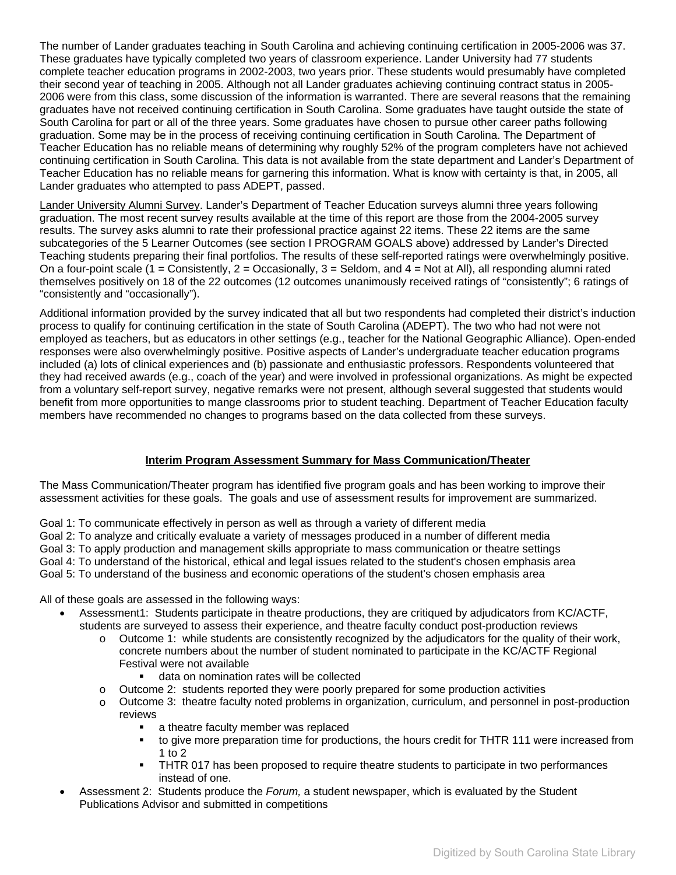<span id="page-14-0"></span>The number of Lander graduates teaching in South Carolina and achieving continuing certification in 2005-2006 was 37. These graduates have typically completed two years of classroom experience. Lander University had 77 students complete teacher education programs in 2002-2003, two years prior. These students would presumably have completed their second year of teaching in 2005. Although not all Lander graduates achieving continuing contract status in 2005- 2006 were from this class, some discussion of the information is warranted. There are several reasons that the remaining graduates have not received continuing certification in South Carolina. Some graduates have taught outside the state of South Carolina for part or all of the three years. Some graduates have chosen to pursue other career paths following graduation. Some may be in the process of receiving continuing certification in South Carolina. The Department of Teacher Education has no reliable means of determining why roughly 52% of the program completers have not achieved continuing certification in South Carolina. This data is not available from the state department and Lander's Department of Teacher Education has no reliable means for garnering this information. What is know with certainty is that, in 2005, all Lander graduates who attempted to pass ADEPT, passed.

Lander University Alumni Survey. Lander's Department of Teacher Education surveys alumni three years following graduation. The most recent survey results available at the time of this report are those from the 2004-2005 survey results. The survey asks alumni to rate their professional practice against 22 items. These 22 items are the same subcategories of the 5 Learner Outcomes (see section I PROGRAM GOALS above) addressed by Lander's Directed Teaching students preparing their final portfolios. The results of these self-reported ratings were overwhelmingly positive. On a four-point scale (1 = Consistently,  $2$  = Occasionally,  $3$  = Seldom, and  $4$  = Not at All), all responding alumni rated themselves positively on 18 of the 22 outcomes (12 outcomes unanimously received ratings of "consistently"; 6 ratings of "consistently and "occasionally").

Additional information provided by the survey indicated that all but two respondents had completed their district's induction process to qualify for continuing certification in the state of South Carolina (ADEPT). The two who had not were not employed as teachers, but as educators in other settings (e.g., teacher for the National Geographic Alliance). Open-ended responses were also overwhelmingly positive. Positive aspects of Lander's undergraduate teacher education programs included (a) lots of clinical experiences and (b) passionate and enthusiastic professors. Respondents volunteered that they had received awards (e.g., coach of the year) and were involved in professional organizations. As might be expected from a voluntary self-report survey, negative remarks were not present, although several suggested that students would benefit from more opportunities to mange classrooms prior to student teaching. Department of Teacher Education faculty members have recommended no changes to programs based on the data collected from these surveys.

# **Interim Program Assessment Summary for Mass Communication/Theater**

The Mass Communication/Theater program has identified five program goals and has been working to improve their assessment activities for these goals. The goals and use of assessment results for improvement are summarized.

Goal 1: To communicate effectively in person as well as through a variety of different media

Goal 2: To analyze and critically evaluate a variety of messages produced in a number of different media

Goal 3: To apply production and management skills appropriate to mass communication or theatre settings

Goal 4: To understand of the historical, ethical and legal issues related to the student's chosen emphasis area

Goal 5: To understand of the business and economic operations of the student's chosen emphasis area

All of these goals are assessed in the following ways:

- Assessment1: Students participate in theatre productions, they are critiqued by adjudicators from KC/ACTF, students are surveyed to assess their experience, and theatre faculty conduct post-production reviews
	- o Outcome 1: while students are consistently recognized by the adjudicators for the quality of their work, concrete numbers about the number of student nominated to participate in the KC/ACTF Regional Festival were not available
		- **data on nomination rates will be collected**
	- $\circ$  Outcome 2: students reported they were poorly prepared for some production activities
	- o Outcome 3: theatre faculty noted problems in organization, curriculum, and personnel in post-production reviews
		- a theatre faculty member was replaced<br>• to give more preparation time for product
		- to give more preparation time for productions, the hours credit for THTR 111 were increased from 1 to 2
		- **THTR 017 has been proposed to require theatre students to participate in two performances** instead of one.
- Assessment 2: Students produce the *Forum,* a student newspaper, which is evaluated by the Student Publications Advisor and submitted in competitions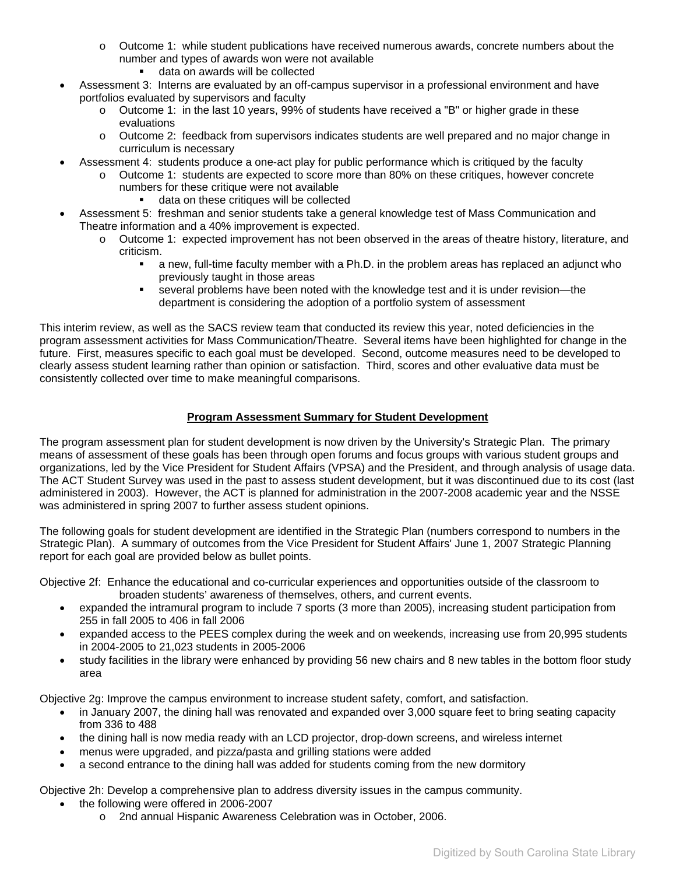- o Outcome 1: while student publications have received numerous awards, concrete numbers about the number and types of awards won were not available
	- data on awards will be collected
- <span id="page-15-0"></span>• Assessment 3: Interns are evaluated by an off-campus supervisor in a professional environment and have portfolios evaluated by supervisors and faculty
	- $\circ$  Outcome 1: in the last 10 years, 99% of students have received a "B" or higher grade in these evaluations
	- o Outcome 2: feedback from supervisors indicates students are well prepared and no major change in curriculum is necessary
- Assessment 4: students produce a one-act play for public performance which is critiqued by the faculty
	- o Outcome 1: students are expected to score more than 80% on these critiques, however concrete numbers for these critique were not available
		- data on these critiques will be collected
- Assessment 5: freshman and senior students take a general knowledge test of Mass Communication and Theatre information and a 40% improvement is expected.
	- o Outcome 1: expected improvement has not been observed in the areas of theatre history, literature, and criticism.
		- a new, full-time faculty member with a Ph.D. in the problem areas has replaced an adjunct who previously taught in those areas
		- several problems have been noted with the knowledge test and it is under revision—the department is considering the adoption of a portfolio system of assessment

This interim review, as well as the SACS review team that conducted its review this year, noted deficiencies in the program assessment activities for Mass Communication/Theatre. Several items have been highlighted for change in the future. First, measures specific to each goal must be developed. Second, outcome measures need to be developed to clearly assess student learning rather than opinion or satisfaction. Third, scores and other evaluative data must be consistently collected over time to make meaningful comparisons.

# **Program Assessment Summary for Student Development**

The program assessment plan for student development is now driven by the University's Strategic Plan. The primary means of assessment of these goals has been through open forums and focus groups with various student groups and organizations, led by the Vice President for Student Affairs (VPSA) and the President, and through analysis of usage data. The ACT Student Survey was used in the past to assess student development, but it was discontinued due to its cost (last administered in 2003). However, the ACT is planned for administration in the 2007-2008 academic year and the NSSE was administered in spring 2007 to further assess student opinions.

The following goals for student development are identified in the Strategic Plan (numbers correspond to numbers in the Strategic Plan). A summary of outcomes from the Vice President for Student Affairs' June 1, 2007 Strategic Planning report for each goal are provided below as bullet points.

Objective 2f: Enhance the educational and co-curricular experiences and opportunities outside of the classroom to broaden students' awareness of themselves, others, and current events.

- expanded the intramural program to include 7 sports (3 more than 2005), increasing student participation from 255 in fall 2005 to 406 in fall 2006
- expanded access to the PEES complex during the week and on weekends, increasing use from 20,995 students in 2004-2005 to 21,023 students in 2005-2006
- study facilities in the library were enhanced by providing 56 new chairs and 8 new tables in the bottom floor study area

Objective 2g: Improve the campus environment to increase student safety, comfort, and satisfaction.

- in January 2007, the dining hall was renovated and expanded over 3,000 square feet to bring seating capacity from 336 to 488
- the dining hall is now media ready with an LCD projector, drop-down screens, and wireless internet
- menus were upgraded, and pizza/pasta and grilling stations were added
- a second entrance to the dining hall was added for students coming from the new dormitory

Objective 2h: Develop a comprehensive plan to address diversity issues in the campus community.

- the following were offered in 2006-2007
	- o 2nd annual Hispanic Awareness Celebration was in October, 2006.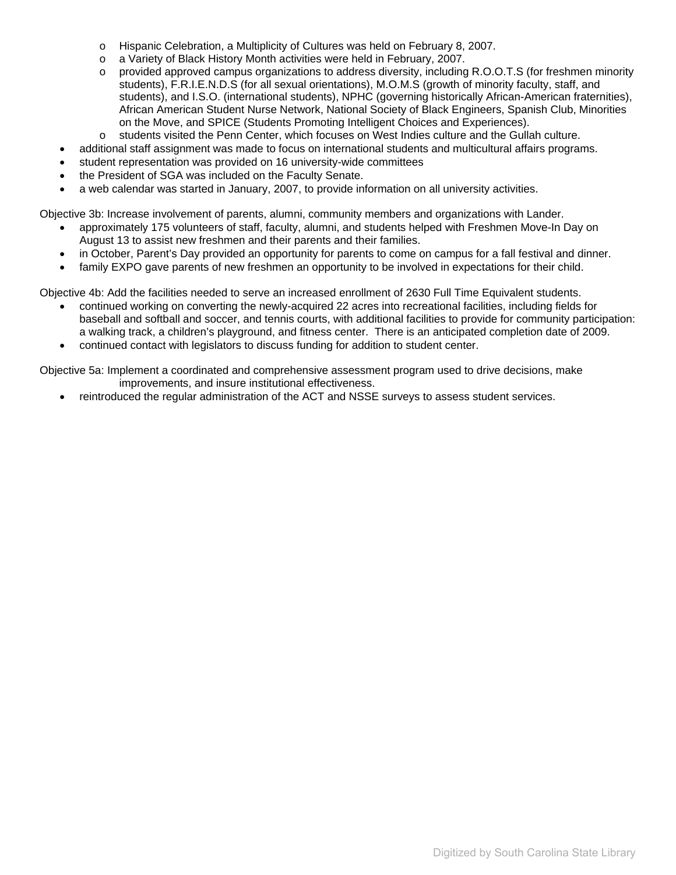- o Hispanic Celebration, a Multiplicity of Cultures was held on February 8, 2007.
- o a Variety of Black History Month activities were held in February, 2007.
- o provided approved campus organizations to address diversity, including R.O.O.T.S (for freshmen minority students), F.R.I.E.N.D.S (for all sexual orientations), M.O.M.S (growth of minority faculty, staff, and students), and I.S.O. (international students), NPHC (governing historically African-American fraternities), African American Student Nurse Network, National Society of Black Engineers, Spanish Club, Minorities on the Move, and SPICE (Students Promoting Intelligent Choices and Experiences).
- o students visited the Penn Center, which focuses on West Indies culture and the Gullah culture.
- additional staff assignment was made to focus on international students and multicultural affairs programs.
- student representation was provided on 16 university-wide committees
- the President of SGA was included on the Faculty Senate.
- a web calendar was started in January, 2007, to provide information on all university activities.
- Objective 3b: Increase involvement of parents, alumni, community members and organizations with Lander.
	- approximately 175 volunteers of staff, faculty, alumni, and students helped with Freshmen Move-In Day on August 13 to assist new freshmen and their parents and their families.
	- in October, Parent's Day provided an opportunity for parents to come on campus for a fall festival and dinner.
	- family EXPO gave parents of new freshmen an opportunity to be involved in expectations for their child.

Objective 4b: Add the facilities needed to serve an increased enrollment of 2630 Full Time Equivalent students.

- continued working on converting the newly-acquired 22 acres into recreational facilities, including fields for baseball and softball and soccer, and tennis courts, with additional facilities to provide for community participation: a walking track, a children's playground, and fitness center. There is an anticipated completion date of 2009.
- continued contact with legislators to discuss funding for addition to student center.

Objective 5a: Implement a coordinated and comprehensive assessment program used to drive decisions, make improvements, and insure institutional effectiveness.

• reintroduced the regular administration of the ACT and NSSE surveys to assess student services.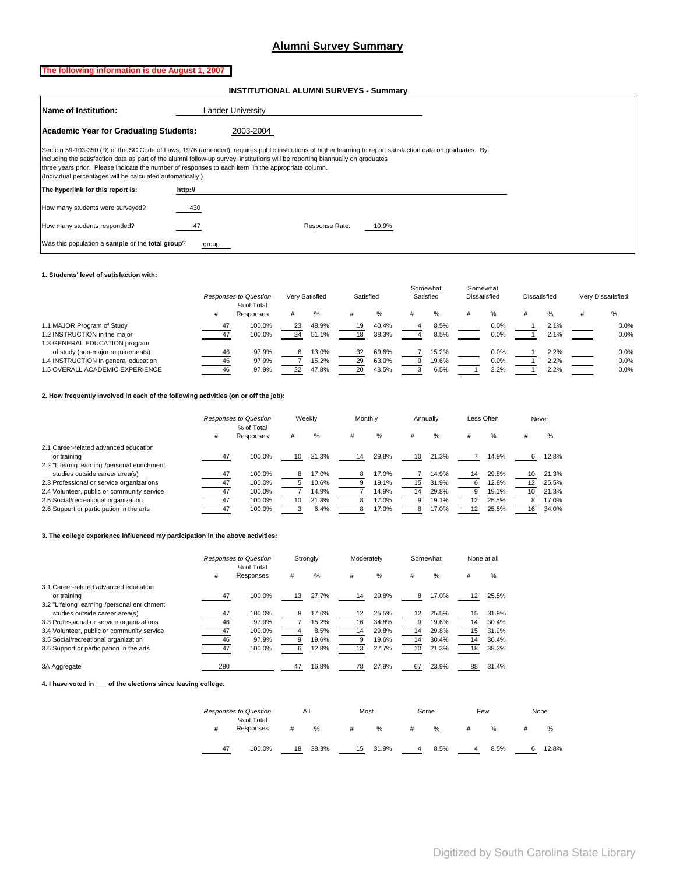# **Alumni Survey Summary**

# <span id="page-17-0"></span>**The following information is due August 1, 2007**

 **INSTITUTIONAL ALUMNI SURVEYS - Summary**

| <b>Name of Institution:</b>                                | <b>Lander University</b>                                                                                                                                                                                                                                                                                                                                                                            |
|------------------------------------------------------------|-----------------------------------------------------------------------------------------------------------------------------------------------------------------------------------------------------------------------------------------------------------------------------------------------------------------------------------------------------------------------------------------------------|
| Academic Year for Graduating Students:                     | 2003-2004                                                                                                                                                                                                                                                                                                                                                                                           |
| (Individual percentages will be calculated automatically.) | Section 59-103-350 (D) of the SC Code of Laws, 1976 (amended), requires public institutions of higher learning to report satisfaction data on graduates. By<br>including the satisfaction data as part of the alumni follow-up survey, institutions will be reporting biannually on graduates<br>three years prior. Please indicate the number of responses to each item in the appropriate column. |
| The hyperlink for this report is:                          | http://                                                                                                                                                                                                                                                                                                                                                                                             |
| How many students were surveyed?                           | 430                                                                                                                                                                                                                                                                                                                                                                                                 |
| How many students responded?                               | Response Rate:<br>10.9%                                                                                                                                                                                                                                                                                                                                                                             |
| Was this population a sample or the total group?           | group                                                                                                                                                                                                                                                                                                                                                                                               |

#### **1. Students' level of satisfaction with:**

|                                      |    | <b>Responses to Question</b><br>% of Total |    | Very Satisfied | Satisfied |       | Somewhat<br>Satisfied | Somewhat<br>Dissatisfied | Dissatisfied |      | Very Dissatisfied |
|--------------------------------------|----|--------------------------------------------|----|----------------|-----------|-------|-----------------------|--------------------------|--------------|------|-------------------|
|                                      | #  | Responses                                  |    | %              |           |       | %                     | ℅                        |              | %    | $\%$              |
| 1.1 MAJOR Program of Study           | 47 | 100.0%                                     | 23 | 48.9%          | 19        | 40.4% | 8.5%                  | 0.0%                     |              | 2.1% | 0.0%              |
| 1.2 INSTRUCTION in the major         | 47 | 100.0%                                     | 24 | 51.1%          | 18        | 38.3% | 8.5%                  | 0.0%                     |              | 2.1% | 0.0%              |
| 1.3 GENERAL EDUCATION program        |    |                                            |    |                |           |       |                       |                          |              |      |                   |
| of study (non-major requirements)    | 46 | 97.9%                                      |    | 13.0%          | 32        | 69.6% | 15.2%                 | 0.0%                     |              | 2.2% | 0.0%              |
| 1.4 INSTRUCTION in general education | 46 | 97.9%                                      |    | 15.2%          | 29        | 63.0% | 19.6%                 | 0.0%                     |              | 2.2% | 0.0%              |
| 1.5 OVERALL ACADEMIC EXPERIENCE      | 46 | 97.9%                                      | 22 | 47.8%          | 20        | 43.5% | 6.5%                  | 2.2%                     |              | 2.2% | 0.0%              |

#### **2. How frequently involved in each of the following activities (on or off the job):**

|                                             |    | Responses to Question<br>% of Total |    | Weekly | Monthly |       |    | Annually |    | Less Often | Never |       |
|---------------------------------------------|----|-------------------------------------|----|--------|---------|-------|----|----------|----|------------|-------|-------|
|                                             | #  | Responses                           | #  | %      |         | %     | #  | $\%$     |    | $\%$       |       | %     |
| 2.1 Career-related advanced education       |    |                                     |    |        |         |       |    |          |    |            |       |       |
| or training                                 | 47 | 100.0%                              | 10 | 21.3%  | 14      | 29.8% | 10 | 21.3%    |    | 14.9%      |       | 12.8% |
| 2.2 "Lifelong learning"/personal enrichment |    |                                     |    |        |         |       |    |          |    |            |       |       |
| studies outside career area(s)              | 47 | 100.0%                              | 8  | 17.0%  | 8       | 17.0% |    | 14.9%    | 14 | 29.8%      | 10    | 21.3% |
| 2.3 Professional or service organizations   | 47 | 100.0%                              |    | 10.6%  |         | 19.1% | 15 | 31.9%    | h  | 12.8%      |       | 25.5% |
| 2.4 Volunteer, public or community service  | 47 | 100.0%                              |    | 14.9%  |         | 14.9% | 14 | 29.8%    |    | 19.1%      | 10    | 21.3% |
| 2.5 Social/recreational organization        | 47 | 100.0%                              |    | 21.3%  |         | 17.0% |    | 19.1%    | 12 | 25.5%      |       | 17.0% |
| 2.6 Support or participation in the arts    |    | 100.0%                              |    | 6.4%   |         | 17.0% |    | 17.0%    |    | 25.5%      | 16    | 34.0% |

#### **3. The college experience influenced my participation in the above activities:**

|                                             |     | Responses to Question   |    | Strongly | Moderately |       |    | Somewhat |    | None at all |
|---------------------------------------------|-----|-------------------------|----|----------|------------|-------|----|----------|----|-------------|
|                                             | #   | % of Total<br>Responses | #  | $\%$     | #          | $\%$  | #  | $\%$     | #  | %           |
| 3.1 Career-related advanced education       |     |                         |    |          |            |       |    |          |    |             |
| or training                                 | 47  | 100.0%                  | 13 | 27.7%    | 14         | 29.8% | 8  | 17.0%    | 12 | 25.5%       |
| 3.2 "Lifelong learning"/personal enrichment |     |                         |    |          |            |       |    |          |    |             |
| studies outside career area(s)              | 47  | 100.0%                  | 8  | 17.0%    | 12         | 25.5% | 12 | 25.5%    | 15 | 31.9%       |
| 3.3 Professional or service organizations   | 46  | 97.9%                   |    | 15.2%    | 16         | 34.8% | 9  | 19.6%    | 14 | 30.4%       |
| 3.4 Volunteer, public or community service  | 47  | 100.0%                  |    | 8.5%     | 14         | 29.8% | 14 | 29.8%    | 15 | 31.9%       |
| 3.5 Social/recreational organization        | 46  | 97.9%                   | 9  | 19.6%    |            | 19.6% | 14 | 30.4%    | 14 | 30.4%       |
| 3.6 Support or participation in the arts    | 47  | 100.0%                  | n  | 12.8%    | 13         | 27.7% | 10 | 21.3%    | 18 | 38.3%       |
| 3A Aggregate                                | 280 |                         | 47 | 16.8%    | 78         | 27.9% | 67 | 23.9%    | 88 | 31.4%       |

**4. I have voted in \_\_\_ of the elections since leaving college.**

|    | <b>Responses to Question</b> |    | All   | Most |       | Some |      | Few |      | None |       |
|----|------------------------------|----|-------|------|-------|------|------|-----|------|------|-------|
|    | % of Total<br>Responses      |    |       |      |       |      |      |     |      |      |       |
| #  |                              | #  | $\%$  | #    | %     | #    | %    |     | %    |      | %     |
| 47 | 100.0%                       | 18 | 38.3% | 15   | 31.9% | 4    | 8.5% | 4   | 8.5% |      | 12.8% |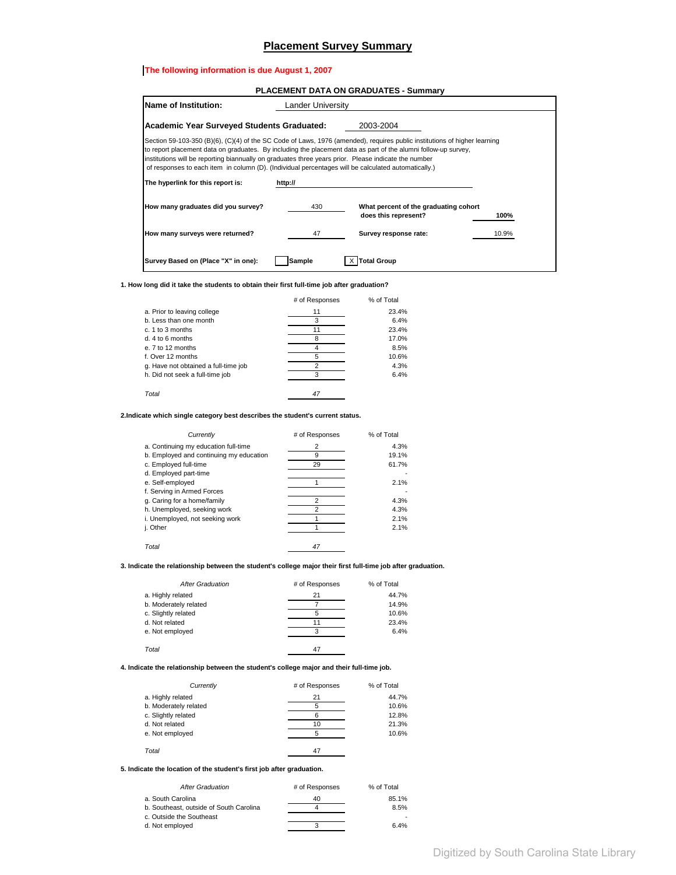#### **Placement Survey Summary**

#### <span id="page-18-0"></span>**The following information is due August 1, 2007**

|                                                                                                                                                                                                                                                                                                                                                                                                                                                                                                 |                   | <b>PLACEMENT DATA ON GRADUATES - Summary</b>                  |       |
|-------------------------------------------------------------------------------------------------------------------------------------------------------------------------------------------------------------------------------------------------------------------------------------------------------------------------------------------------------------------------------------------------------------------------------------------------------------------------------------------------|-------------------|---------------------------------------------------------------|-------|
| Name of Institution:                                                                                                                                                                                                                                                                                                                                                                                                                                                                            | Lander University |                                                               |       |
| <b>Academic Year Surveyed Students Graduated:</b>                                                                                                                                                                                                                                                                                                                                                                                                                                               |                   | 2003-2004                                                     |       |
| Section 59-103-350 (B)(6), (C)(4) of the SC Code of Laws, 1976 (amended), requires public institutions of higher learning<br>to report placement data on graduates. By including the placement data as part of the alumni follow-up survey,<br>institutions will be reporting biannually on graduates three years prior. Please indicate the number<br>of responses to each item in column (D). (Individual percentages will be calculated automatically.)<br>The hyperlink for this report is: | http://           |                                                               |       |
| How many graduates did you survey?                                                                                                                                                                                                                                                                                                                                                                                                                                                              | 430               | What percent of the graduating cohort<br>does this represent? | 100%  |
| How many surveys were returned?                                                                                                                                                                                                                                                                                                                                                                                                                                                                 | 47                | Survey response rate:                                         | 10.9% |
| Survey Based on (Place "X" in one):                                                                                                                                                                                                                                                                                                                                                                                                                                                             | Sample            | Total Group                                                   |       |

**1. How long did it take the students to obtain their first full-time job after graduation?**

|                                      | # of Responses | % of Total |
|--------------------------------------|----------------|------------|
| a. Prior to leaving college          | 11             | 23.4%      |
| b. Less than one month               | 3              | 6.4%       |
| c. 1 to 3 months                     |                | 23.4%      |
| d. 4 to 6 months                     |                | 17.0%      |
| e. 7 to 12 months                    |                | 8.5%       |
| f. Over 12 months                    |                | 10.6%      |
| g. Have not obtained a full-time job | 2              | 4.3%       |
| h. Did not seek a full-time job      |                | 6.4%       |
| Total                                | 47             |            |

**2.Indicate which single category best describes the student's current status.**

| Currently                               | # of Responses | % of Total |
|-----------------------------------------|----------------|------------|
| a. Continuing my education full-time    | $\overline{2}$ | 4.3%       |
| b. Employed and continuing my education | 9              | 19.1%      |
| c. Employed full-time                   | 29             | 61.7%      |
| d. Employed part-time                   |                |            |
| e. Self-employed                        |                | 2.1%       |
| f. Serving in Armed Forces              |                |            |
| g. Caring for a home/family             | 2              | 4.3%       |
| h. Unemployed, seeking work             | $\overline{2}$ | 4.3%       |
| i. Unemployed, not seeking work         |                | 2.1%       |
| j. Other                                |                | 2.1%       |
|                                         |                |            |
| Total                                   | 47             |            |

**3. Indicate the relationship between the student's college major their first full-time job after graduation.**

| <b>After Graduation</b> | # of Responses | % of Total |
|-------------------------|----------------|------------|
| a. Highly related       | 21             | 44.7%      |
| b. Moderately related   |                | 14.9%      |
| c. Slightly related     | 5              | 10.6%      |
| d. Not related          |                | 23.4%      |
| e. Not employed         | 3              | 6.4%       |
| Total                   | 47             |            |

#### **4. Indicate the relationship between the student's college major and their full-time job.**

| Currently             | # of Responses | % of Total |
|-----------------------|----------------|------------|
| a. Highly related     | 21             | 44.7%      |
| b. Moderately related | 5              | 10.6%      |
| c. Slightly related   |                | 12.8%      |
| d. Not related        | 10             | 21.3%      |
| e. Not employed       | 5              | 10.6%      |
| Total                 | 47             |            |

**5. Indicate the location of the student's first job after graduation.**

| <b>After Graduation</b>                 | # of Responses | % of Total |
|-----------------------------------------|----------------|------------|
| a. South Carolina                       | 40             | 85.1%      |
| b. Southeast, outside of South Carolina |                | 8.5%       |
| c. Outside the Southeast                |                |            |
| d. Not employed                         |                | 6.4%       |